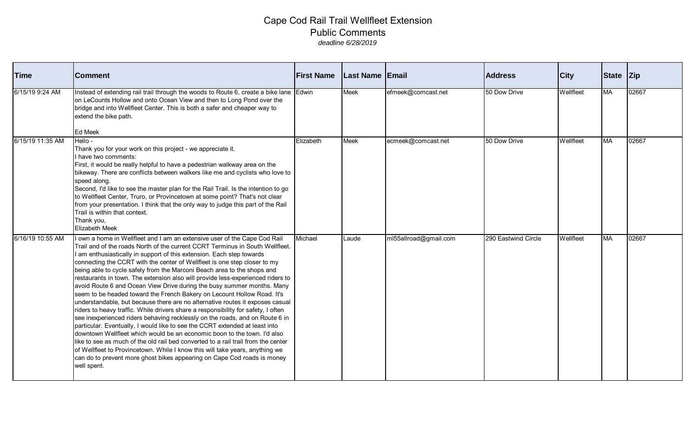| <b>Time</b>      | <b>Comment</b>                                                                                                                                                                                                                                                                                                                                                                                                                                                                                                                                                                                                                                                                                                                                                                                                                                                                                                                                                                                                                                                                                                                                                                                                                                                                                                  | <b>First Name</b> | Last Name Email |                       | <b>Address</b>      | <b>City</b>      | State Zip |       |
|------------------|-----------------------------------------------------------------------------------------------------------------------------------------------------------------------------------------------------------------------------------------------------------------------------------------------------------------------------------------------------------------------------------------------------------------------------------------------------------------------------------------------------------------------------------------------------------------------------------------------------------------------------------------------------------------------------------------------------------------------------------------------------------------------------------------------------------------------------------------------------------------------------------------------------------------------------------------------------------------------------------------------------------------------------------------------------------------------------------------------------------------------------------------------------------------------------------------------------------------------------------------------------------------------------------------------------------------|-------------------|-----------------|-----------------------|---------------------|------------------|-----------|-------|
| 6/15/19 9:24 AM  | Instead of extending rail trail through the woods to Route 6, create a bike lane Edwin<br>on LeCounts Hollow and onto Ocean View and then to Long Pond over the<br>bridge and into Wellfleet Center. This is both a safer and cheaper way to<br>extend the bike path.<br>Ed Meek                                                                                                                                                                                                                                                                                                                                                                                                                                                                                                                                                                                                                                                                                                                                                                                                                                                                                                                                                                                                                                |                   | <b>Meek</b>     | efmeek@comcast.net    | 50 Dow Drive        | Wellfleet        | <b>MA</b> | 02667 |
| 6/15/19 11:35 AM | Hello -<br>Thank you for your work on this project - we appreciate it.<br>have two comments:<br>First, it would be really helpful to have a pedestrian walkway area on the<br>bikeway. There are conflicts between walkers like me and cyclists who love to<br>speed along.<br>Second, I'd like to see the master plan for the Rail Trail. Is the intention to go<br>to Wellfleet Center, Truro, or Provincetown at some point? That's not clear<br>from your presentation. I think that the only way to judge this part of the Rail<br>Trail is within that context.<br>Thank you,<br><b>Elizabeth Meek</b>                                                                                                                                                                                                                                                                                                                                                                                                                                                                                                                                                                                                                                                                                                    | Elizabeth         | <b>Meek</b>     | ecmeek@comcast.net    | 50 Dow Drive        | <b>Wellfleet</b> | <b>MA</b> | 02667 |
| 6/16/19 10:55 AM | own a home in Wellfleet and I am an extensive user of the Cape Cod Rail<br>Trail and of the roads North of the current CCRT Terminus in South Wellfleet.<br>am enthusiastically in support of this extension. Each step towards<br>connecting the CCRT with the center of Wellfleet is one step closer to my<br>being able to cycle safely from the Marconi Beach area to the shops and<br>restaurants in town. The extension also will provide less-experienced riders to<br>avoid Route 6 and Ocean View Drive during the busy summer months. Many<br>seem to be headed toward the French Bakery on Lecount Hollow Road. It's<br>understandable, but because there are no alternative routes it exposes casual<br>riders to heavy traffic. While drivers share a responsibility for safety, I often<br>see inexperienced riders behaving recklessly on the roads, and on Route 6 in<br>particular. Eventually, I would like to see the CCRT extended at least into<br>downtown Wellfleet which would be an economic boon to the town. I'd also<br>like to see as much of the old rail bed converted to a rail trail from the center<br>of Wellfleet to Provincetown. While I know this will take years, anything we<br>can do to prevent more ghost bikes appearing on Cape Cod roads is money<br>well spent. | Michael           | Laude           | ml55allroad@gmail.com | 290 Eastwind Circle | Wellfleet        | <b>MA</b> | 02667 |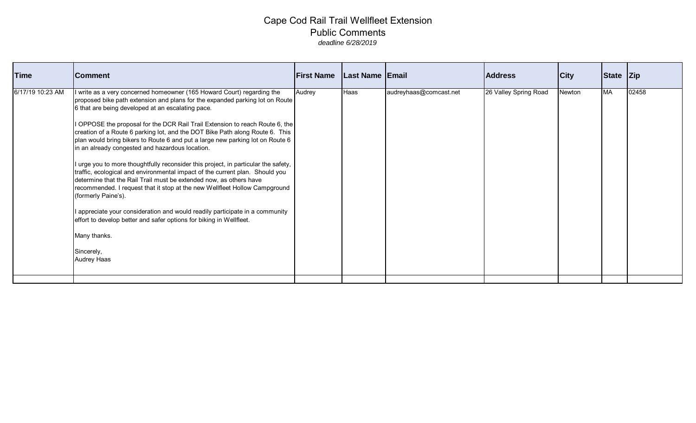| Time             | <b>Comment</b>                                                                                                                                                                                                                                                                                                                                                                                                                                                                                                                                                                                                                                                                                                                                                                                                                                                                                                                                                                                                                                        | <b>First Name</b> | Last Name   Email |                        | <b>Address</b>        | City   | State Zip |       |
|------------------|-------------------------------------------------------------------------------------------------------------------------------------------------------------------------------------------------------------------------------------------------------------------------------------------------------------------------------------------------------------------------------------------------------------------------------------------------------------------------------------------------------------------------------------------------------------------------------------------------------------------------------------------------------------------------------------------------------------------------------------------------------------------------------------------------------------------------------------------------------------------------------------------------------------------------------------------------------------------------------------------------------------------------------------------------------|-------------------|-------------------|------------------------|-----------------------|--------|-----------|-------|
| 6/17/19 10:23 AM | I write as a very concerned homeowner (165 Howard Court) regarding the<br>proposed bike path extension and plans for the expanded parking lot on Route<br>6 that are being developed at an escalating pace.<br>I OPPOSE the proposal for the DCR Rail Trail Extension to reach Route 6, the<br>creation of a Route 6 parking lot, and the DOT Bike Path along Route 6. This<br>plan would bring bikers to Route 6 and put a large new parking lot on Route 6<br>in an already congested and hazardous location.<br>I urge you to more thoughtfully reconsider this project, in particular the safety,<br>traffic, ecological and environmental impact of the current plan. Should you<br>determine that the Rail Trail must be extended now, as others have<br>recommended. I request that it stop at the new Wellfleet Hollow Campground<br>(formerly Paine's).<br>I appreciate your consideration and would readily participate in a community<br>effort to develop better and safer options for biking in Wellfleet.<br>Many thanks.<br>Sincerely, | Audrey            | <b>Haas</b>       | audreyhaas@comcast.net | 26 Valley Spring Road | Newton | MA        | 02458 |
|                  | Audrey Haas                                                                                                                                                                                                                                                                                                                                                                                                                                                                                                                                                                                                                                                                                                                                                                                                                                                                                                                                                                                                                                           |                   |                   |                        |                       |        |           |       |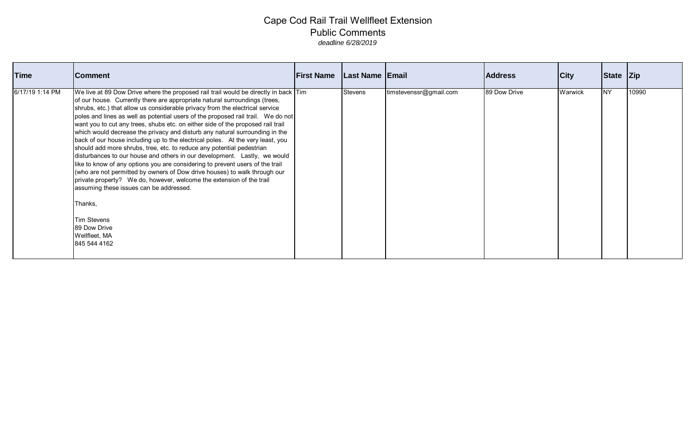| Time            | <b>Comment</b>                                                                                                                                                                                                                                                                                                                                                                                                                                                                                                                                                                                                                                                                                                                                                                                                                                                                                                                                                                                                                                                                                                     | <b>First Name</b> | Last Name   Email |                        | <b>Address</b> | City    | State Zip |       |
|-----------------|--------------------------------------------------------------------------------------------------------------------------------------------------------------------------------------------------------------------------------------------------------------------------------------------------------------------------------------------------------------------------------------------------------------------------------------------------------------------------------------------------------------------------------------------------------------------------------------------------------------------------------------------------------------------------------------------------------------------------------------------------------------------------------------------------------------------------------------------------------------------------------------------------------------------------------------------------------------------------------------------------------------------------------------------------------------------------------------------------------------------|-------------------|-------------------|------------------------|----------------|---------|-----------|-------|
| 6/17/19 1:14 PM | We live at 89 Dow Drive where the proposed rail trail would be directly in back Tim<br>of our house. Currently there are appropriate natural surroundings (trees,<br>shrubs, etc.) that allow us considerable privacy from the electrical service<br>poles and lines as well as potential users of the proposed rail trail. We do not<br>want you to cut any trees, shubs etc. on either side of the proposed rail trail<br>which would decrease the privacy and disturb any natural surrounding in the<br>back of our house including up to the electrical poles. At the very least, you<br>should add more shrubs, tree, etc. to reduce any potential pedestrian<br>disturbances to our house and others in our development. Lastly, we would<br>like to know of any options you are considering to prevent users of the trail<br>(who are not permitted by owners of Dow drive houses) to walk through our<br>private property? We do, however, welcome the extension of the trail<br>assuming these issues can be addressed.<br>Thanks,<br><b>Tim Stevens</b><br>89 Dow Drive<br>Wellfleet, MA<br>845 544 4162 |                   | <b>Stevens</b>    | timstevenssr@gmail.com | 89 Dow Drive   | Warwick | <b>NY</b> | 10990 |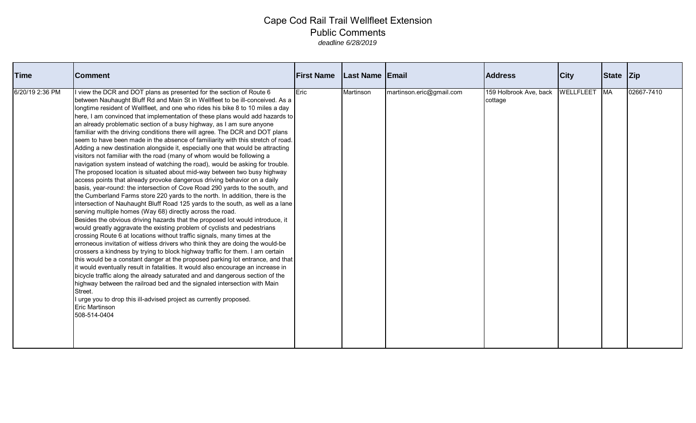| <b>Time</b>     | <b>Comment</b>                                                                                                                                                                                                                                                                                                                                                                                                                                                                                                                                                                                                                                                                                                                                                                                                                                                                                                                                                                                                                                                                                                                                                                                                                                                                                                                                                                                                                                                                                                                                                                                                                                                                                                                                                                                                                                                                                                                                                                                                                                                                                                                                                 | <b>First Name</b> | <b>Last Name Email</b> |                          | <b>Address</b>                    | <b>City</b> | State Zip |            |
|-----------------|----------------------------------------------------------------------------------------------------------------------------------------------------------------------------------------------------------------------------------------------------------------------------------------------------------------------------------------------------------------------------------------------------------------------------------------------------------------------------------------------------------------------------------------------------------------------------------------------------------------------------------------------------------------------------------------------------------------------------------------------------------------------------------------------------------------------------------------------------------------------------------------------------------------------------------------------------------------------------------------------------------------------------------------------------------------------------------------------------------------------------------------------------------------------------------------------------------------------------------------------------------------------------------------------------------------------------------------------------------------------------------------------------------------------------------------------------------------------------------------------------------------------------------------------------------------------------------------------------------------------------------------------------------------------------------------------------------------------------------------------------------------------------------------------------------------------------------------------------------------------------------------------------------------------------------------------------------------------------------------------------------------------------------------------------------------------------------------------------------------------------------------------------------------|-------------------|------------------------|--------------------------|-----------------------------------|-------------|-----------|------------|
| 6/20/19 2:36 PM | I view the DCR and DOT plans as presented for the section of Route 6<br>between Nauhaught Bluff Rd and Main St in Wellfleet to be ill-conceived. As a<br>longtime resident of Wellfleet, and one who rides his bike 8 to 10 miles a day<br>here, I am convinced that implementation of these plans would add hazards to<br>an already problematic section of a busy highway, as I am sure anyone<br>familiar with the driving conditions there will agree. The DCR and DOT plans<br>seem to have been made in the absence of familiarity with this stretch of road.<br>Adding a new destination alongside it, especially one that would be attracting<br>visitors not familiar with the road (many of whom would be following a<br>navigation system instead of watching the road), would be asking for trouble.<br>The proposed location is situated about mid-way between two busy highway<br>access points that already provoke dangerous driving behavior on a daily<br>basis, year-round: the intersection of Cove Road 290 yards to the south, and<br>the Cumberland Farms store 220 yards to the north. In addition, there is the<br>intersection of Nauhaught Bluff Road 125 yards to the south, as well as a lane<br>serving multiple homes (Way 68) directly across the road.<br>Besides the obvious driving hazards that the proposed lot would introduce, it<br>would greatly aggravate the existing problem of cyclists and pedestrians<br>crossing Route 6 at locations without traffic signals, many times at the<br>erroneous invitation of witless drivers who think they are doing the would-be<br>crossers a kindness by trying to block highway traffic for them. I am certain<br>this would be a constant danger at the proposed parking lot entrance, and that<br>it would eventually result in fatalities. It would also encourage an increase in<br>bicycle traffic along the already saturated and and dangerous section of the<br>highway between the railroad bed and the signaled intersection with Main<br>Street.<br>I urge you to drop this ill-advised project as currently proposed.<br><b>Eric Martinson</b><br>508-514-0404 | Eric              | Martinson              | martinson.eric@gmail.com | 159 Holbrook Ave, back<br>cottage | WELLFLEET   | <b>MA</b> | 02667-7410 |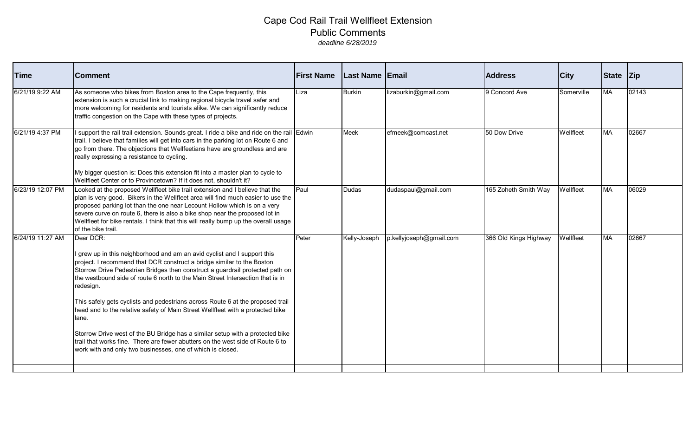| Time             | <b>Comment</b>                                                                                                                                                                                                                                                                                                                                                                                                                                                                                                                                                                                                                                                                                                                                              | <b>First Name</b> | <b>Last Name Email</b> |                         | <b>Address</b>        | <b>City</b> | State Zip |       |
|------------------|-------------------------------------------------------------------------------------------------------------------------------------------------------------------------------------------------------------------------------------------------------------------------------------------------------------------------------------------------------------------------------------------------------------------------------------------------------------------------------------------------------------------------------------------------------------------------------------------------------------------------------------------------------------------------------------------------------------------------------------------------------------|-------------------|------------------------|-------------------------|-----------------------|-------------|-----------|-------|
| 6/21/19 9:22 AM  | As someone who bikes from Boston area to the Cape frequently, this<br>extension is such a crucial link to making regional bicycle travel safer and<br>more welcoming for residents and tourists alike. We can significantly reduce<br>traffic congestion on the Cape with these types of projects.                                                                                                                                                                                                                                                                                                                                                                                                                                                          | Liza              | <b>Burkin</b>          | lizaburkin@gmail.com    | 9 Concord Ave         | Somerville  | <b>MA</b> | 02143 |
| 6/21/19 4:37 PM  | I support the rail trail extension. Sounds great. I ride a bike and ride on the rail Edwin<br>trail. I believe that families will get into cars in the parking lot on Route 6 and<br>go from there. The objections that Wellfeetians have are groundless and are<br>really expressing a resistance to cycling.<br>My bigger question is: Does this extension fit into a master plan to cycle to<br>Wellfleet Center or to Provincetown? If it does not, shouldn't it?                                                                                                                                                                                                                                                                                       |                   | <b>Meek</b>            | efmeek@comcast.net      | 50 Dow Drive          | Wellfleet   | <b>MA</b> | 02667 |
| 6/23/19 12:07 PM | Looked at the proposed Wellfleet bike trail extension and I believe that the<br>plan is very good. Bikers in the Wellfleet area will find much easier to use the<br>proposed parking lot than the one near Lecount Hollow which is on a very<br>severe curve on route 6, there is also a bike shop near the proposed lot in<br>Wellfleet for bike rentals. I think that this will really bump up the overall usage<br>of the bike trail.                                                                                                                                                                                                                                                                                                                    | Paul              | <b>Dudas</b>           | dudaspaul@gmail.com     | 165 Zoheth Smith Way  | Wellfleet   | <b>MA</b> | 06029 |
| 6/24/19 11:27 AM | Dear DCR:<br>grew up in this neighborhood and am an avid cyclist and I support this<br>project. I recommend that DCR construct a bridge similar to the Boston<br>Storrow Drive Pedestrian Bridges then construct a guardrail protected path on<br>the westbound side of route 6 north to the Main Street Intersection that is in<br>redesign.<br>This safely gets cyclists and pedestrians across Route 6 at the proposed trail<br>head and to the relative safety of Main Street Wellfleet with a protected bike<br>lane.<br>Storrow Drive west of the BU Bridge has a similar setup with a protected bike<br>trail that works fine. There are fewer abutters on the west side of Route 6 to<br>work with and only two businesses, one of which is closed. | Peter             | Kelly-Joseph           | p.kellyjoseph@gmail.com | 366 Old Kings Highway | Wellfleet   | <b>MA</b> | 02667 |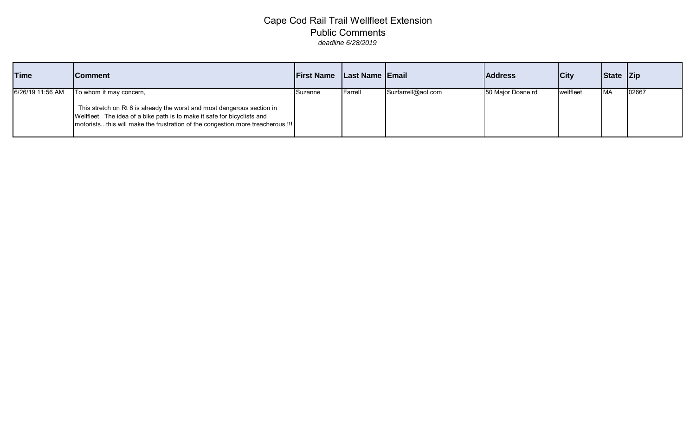| <b>Time</b>      | <b>Comment</b>                                                                                                                                                                                                                                                     | <b>First Name</b> | Last Name Email |                    | <b>Address</b>    | <b>City</b>        | State Zip  |       |
|------------------|--------------------------------------------------------------------------------------------------------------------------------------------------------------------------------------------------------------------------------------------------------------------|-------------------|-----------------|--------------------|-------------------|--------------------|------------|-------|
| 6/26/19 11:56 AM | To whom it may concern,<br>This stretch on Rt 6 is already the worst and most dangerous section in<br>Wellfleet. The idea of a bike path is to make it safe for bicyclists and<br>  motoriststhis will make the frustration of the congestion more treacherous !!! | Suzanne           | IFarrell        | Suzfarrell@aol.com | 50 Major Doane rd | <b>I</b> wellfleet | <b>IMA</b> | 02667 |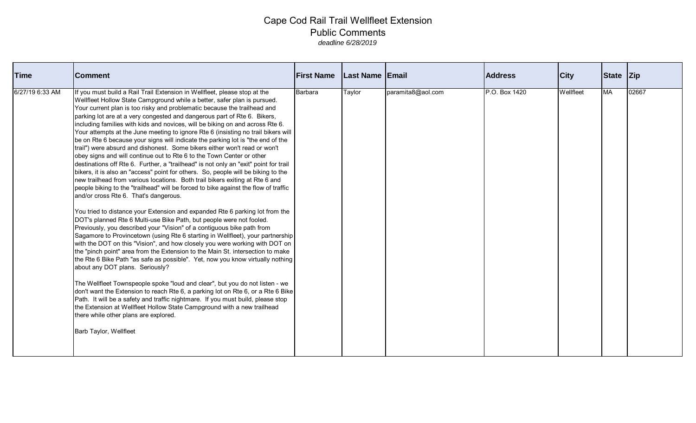| <b>Time</b>     | <b>Comment</b>                                                                                                                                                                                                                                                                                                                                                                                                                                                                                                                                                                                                                                                                                                                                                                                                                                                                                                                                                                                                                                                                                                                                                                                                                                                                                                                                                                                                                                                                                                                                                                                                                                                                                                                                                                                                                                                                                                                                                                                                                                                                                                                           | <b>First Name</b> | <b>Last Name Email</b> |                   | <b>Address</b> | <b>City</b> | State Zip |       |
|-----------------|------------------------------------------------------------------------------------------------------------------------------------------------------------------------------------------------------------------------------------------------------------------------------------------------------------------------------------------------------------------------------------------------------------------------------------------------------------------------------------------------------------------------------------------------------------------------------------------------------------------------------------------------------------------------------------------------------------------------------------------------------------------------------------------------------------------------------------------------------------------------------------------------------------------------------------------------------------------------------------------------------------------------------------------------------------------------------------------------------------------------------------------------------------------------------------------------------------------------------------------------------------------------------------------------------------------------------------------------------------------------------------------------------------------------------------------------------------------------------------------------------------------------------------------------------------------------------------------------------------------------------------------------------------------------------------------------------------------------------------------------------------------------------------------------------------------------------------------------------------------------------------------------------------------------------------------------------------------------------------------------------------------------------------------------------------------------------------------------------------------------------------------|-------------------|------------------------|-------------------|----------------|-------------|-----------|-------|
| 6/27/19 6:33 AM | If you must build a Rail Trail Extension in Wellfleet, please stop at the<br>Wellfleet Hollow State Campground while a better, safer plan is pursued.<br>Your current plan is too risky and problematic because the trailhead and<br>parking lot are at a very congested and dangerous part of Rte 6. Bikers,<br>including families with kids and novices, will be biking on and across Rte 6.<br>Your attempts at the June meeting to ignore Rte 6 (insisting no trail bikers will<br>be on Rte 6 because your signs will indicate the parking lot is "the end of the<br>trail") were absurd and dishonest. Some bikers either won't read or won't<br>obey signs and will continue out to Rte 6 to the Town Center or other<br>destinations off Rte 6. Further, a "trailhead" is not only an "exit" point for trail<br>bikers, it is also an "access" point for others. So, people will be biking to the<br>new trailhead from various locations. Both trail bikers exiting at Rte 6 and<br>people biking to the "trailhead" will be forced to bike against the flow of traffic<br>and/or cross Rte 6. That's dangerous.<br>You tried to distance your Extension and expanded Rte 6 parking lot from the<br>DOT's planned Rte 6 Multi-use Bike Path, but people were not fooled.<br>Previously, you described your "Vision" of a contiguous bike path from<br>Sagamore to Provincetown (using Rte 6 starting in Wellfleet), your partnership<br>with the DOT on this "Vision", and how closely you were working with DOT on<br>the "pinch point" area from the Extension to the Main St. intersection to make<br>the Rte 6 Bike Path "as safe as possible". Yet, now you know virtually nothing<br>about any DOT plans. Seriously?<br>The Wellfleet Townspeople spoke "loud and clear", but you do not listen - we<br>don't want the Extension to reach Rte 6, a parking lot on Rte 6, or a Rte 6 Bike<br>Path. It will be a safety and traffic nightmare. If you must build, please stop<br>the Extension at Wellfleet Hollow State Campground with a new trailhead<br>there while other plans are explored.<br>Barb Taylor, Wellfleet | Barbara           | Taylor                 | paramita8@aol.com | P.O. Box 1420  | Wellfleet   | <b>MA</b> | 02667 |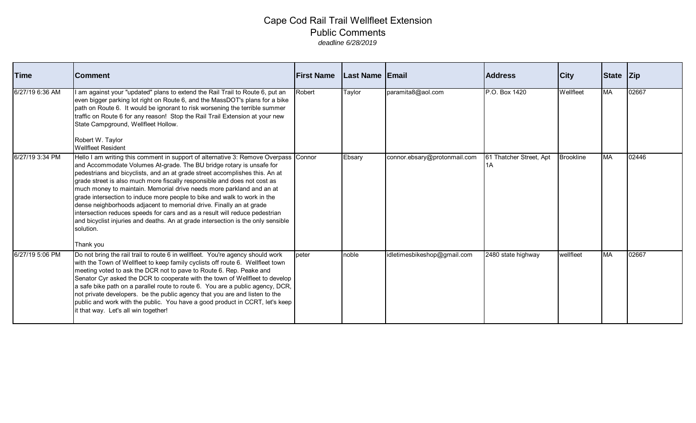| <b>Time</b>     | <b>Comment</b>                                                                                                                                                                                                                                                                                                                                                                                                                                                                                                                                                                                                                                                                                                                                 | <b>First Name</b> | <b>Last Name Email</b> |                              | <b>Address</b>                | <b>City</b>      | State Zip |       |
|-----------------|------------------------------------------------------------------------------------------------------------------------------------------------------------------------------------------------------------------------------------------------------------------------------------------------------------------------------------------------------------------------------------------------------------------------------------------------------------------------------------------------------------------------------------------------------------------------------------------------------------------------------------------------------------------------------------------------------------------------------------------------|-------------------|------------------------|------------------------------|-------------------------------|------------------|-----------|-------|
| 6/27/19 6:36 AM | I am against your "updated" plans to extend the Rail Trail to Route 6, put an<br>even bigger parking lot right on Route 6, and the MassDOT's plans for a bike<br>path on Route 6. It would be ignorant to risk worsening the terrible summer<br>traffic on Route 6 for any reason! Stop the Rail Trail Extension at your new<br>State Campground, Wellfleet Hollow.<br>Robert W. Taylor<br><b>Wellfleet Resident</b>                                                                                                                                                                                                                                                                                                                           | Robert            | Taylor                 | paramita8@aol.com            | P.O. Box 1420                 | Wellfleet        | <b>MA</b> | 02667 |
| 6/27/19 3:34 PM | Hello I am writing this comment in support of alternative 3: Remove Overpass Connor<br>and Accommodate Volumes At-grade. The BU bridge rotary is unsafe for<br>pedestrians and bicyclists, and an at grade street accomplishes this. An at<br>grade street is also much more fiscally responsible and does not cost as<br>much money to maintain. Memorial drive needs more parkland and an at<br>grade intersection to induce more people to bike and walk to work in the<br>dense neighborhoods adjacent to memorial drive. Finally an at grade<br>intersection reduces speeds for cars and as a result will reduce pedestrian<br>and bicyclist injuries and deaths. An at grade intersection is the only sensible<br>solution.<br>Thank you |                   | Ebsary                 | connor.ebsary@protonmail.com | 61 Thatcher Street, Apt<br>1A | <b>Brookline</b> | <b>MA</b> | 02446 |
| 6/27/19 5:06 PM | Do not bring the rail trail to route 6 in wellfleet. You're agency should work<br>with the Town of Wellfleet to keep family cyclists off route 6. Wellfleet town<br>meeting voted to ask the DCR not to pave to Route 6. Rep. Peake and<br>Senator Cyr asked the DCR to cooperate with the town of Wellfleet to develop<br>a safe bike path on a parallel route to route 6. You are a public agency, DCR,<br>not private developers. be the public agency that you are and listen to the<br>public and work with the public. You have a good product in CCRT, let's keep<br>it that way. Let's all win together!                                                                                                                               | peter             | noble                  | idletimesbikeshop@gmail.com  | 2480 state highway            | wellfleet        | <b>MA</b> | 02667 |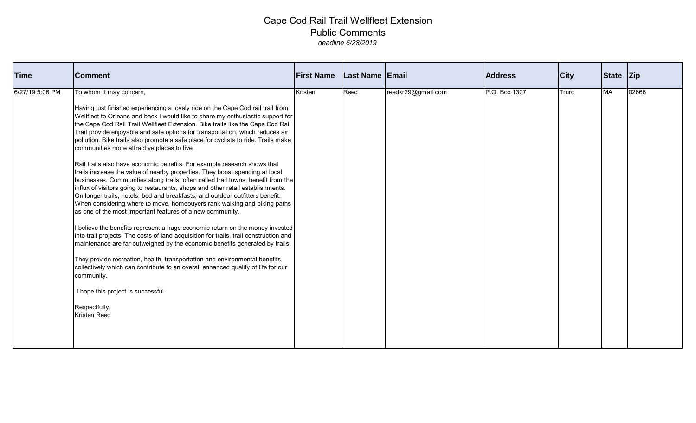| <b>Time</b>     | <b>Comment</b>                                                                                                                                                                                                                                                                                                                                                                                                                                                                                                                                                                                                                                                                                                                                                                                                                                                                                                                                                                                                                                                                                                                                                                                                                                                                                                                                                                                                                                                                                                                                                                      | <b>First Name</b> | <b>Last Name Email</b> |                    | <b>Address</b> | <b>City</b> | State Zip |       |
|-----------------|-------------------------------------------------------------------------------------------------------------------------------------------------------------------------------------------------------------------------------------------------------------------------------------------------------------------------------------------------------------------------------------------------------------------------------------------------------------------------------------------------------------------------------------------------------------------------------------------------------------------------------------------------------------------------------------------------------------------------------------------------------------------------------------------------------------------------------------------------------------------------------------------------------------------------------------------------------------------------------------------------------------------------------------------------------------------------------------------------------------------------------------------------------------------------------------------------------------------------------------------------------------------------------------------------------------------------------------------------------------------------------------------------------------------------------------------------------------------------------------------------------------------------------------------------------------------------------------|-------------------|------------------------|--------------------|----------------|-------------|-----------|-------|
| 6/27/19 5:06 PM | To whom it may concern,<br>Having just finished experiencing a lovely ride on the Cape Cod rail trail from<br>Wellfleet to Orleans and back I would like to share my enthusiastic support for<br>the Cape Cod Rail Trail Wellfleet Extension. Bike trails like the Cape Cod Rail<br>Trail provide enjoyable and safe options for transportation, which reduces air<br>pollution. Bike trails also promote a safe place for cyclists to ride. Trails make<br>communities more attractive places to live.<br>Rail trails also have economic benefits. For example research shows that<br>trails increase the value of nearby properties. They boost spending at local<br>businesses. Communities along trails, often called trail towns, benefit from the<br>influx of visitors going to restaurants, shops and other retail establishments.<br>On longer trails, hotels, bed and breakfasts, and outdoor outfitters benefit.<br>When considering where to move, homebuyers rank walking and biking paths<br>as one of the most important features of a new community.<br>believe the benefits represent a huge economic return on the money invested<br>into trail projects. The costs of land acquisition for trails, trail construction and<br>maintenance are far outweighed by the economic benefits generated by trails.<br>They provide recreation, health, transportation and environmental benefits<br>collectively which can contribute to an overall enhanced quality of life for our<br>community.<br>I hope this project is successful.<br>Respectfully,<br>Kristen Reed | Kristen           | Reed                   | reedkr29@gmail.com | P.O. Box 1307  | Truro       | <b>MA</b> | 02666 |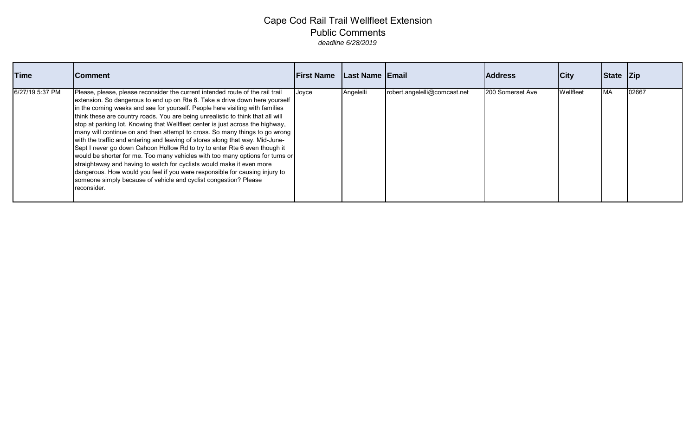| <b>Time</b>     | <b>Comment</b>                                                                                                                                                                                                                                                                                                                                                                                                                                                                                                                                                                                                                                                                                                                                                                                                                                                                                                                                                                               | <b>First Name</b> | Last Name   Email |                              | <b>Address</b>   | <b>City</b> | State Zip |       |
|-----------------|----------------------------------------------------------------------------------------------------------------------------------------------------------------------------------------------------------------------------------------------------------------------------------------------------------------------------------------------------------------------------------------------------------------------------------------------------------------------------------------------------------------------------------------------------------------------------------------------------------------------------------------------------------------------------------------------------------------------------------------------------------------------------------------------------------------------------------------------------------------------------------------------------------------------------------------------------------------------------------------------|-------------------|-------------------|------------------------------|------------------|-------------|-----------|-------|
| 6/27/19 5:37 PM | Please, please, please reconsider the current intended route of the rail trail<br>extension. So dangerous to end up on Rte 6. Take a drive down here yourself<br>in the coming weeks and see for yourself. People here visiting with families<br>think these are country roads. You are being unrealistic to think that all will<br>stop at parking lot. Knowing that Wellfleet center is just across the highway,<br>many will continue on and then attempt to cross. So many things to go wrong<br>with the traffic and entering and leaving of stores along that way. Mid-June-<br>Sept I never go down Cahoon Hollow Rd to try to enter Rte 6 even though it<br>would be shorter for me. Too many vehicles with too many options for turns or<br>straightaway and having to watch for cyclists would make it even more<br>dangerous. How would you feel if you were responsible for causing injury to<br>someone simply because of vehicle and cyclist congestion? Please<br>reconsider. | Joyce             | Angelelli         | robert.angelelli@comcast.net | 200 Somerset Ave | Wellfleet   | <b>MA</b> | 02667 |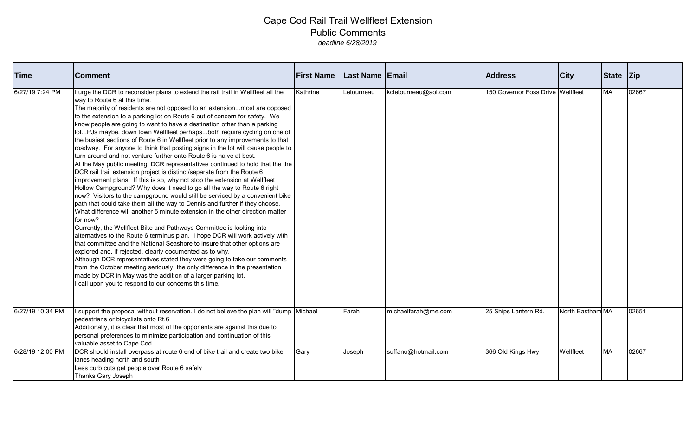| <b>Time</b>      | <b>Comment</b>                                                                                                                                                                                                                                                                                                                                                                                                                                                                                                                                                                                                                                                                                                                                                                                                                                                                                                                                                                                                                                                                                                                                                                                                                                                                                                                                                                                                                                                                                                                                                                                                                                                                                                                                                                                                                                | <b>First Name</b> | <b>Last Name Email</b> |                      | <b>Address</b>                    | <b>City</b>      | <b>State</b> | Zip   |
|------------------|-----------------------------------------------------------------------------------------------------------------------------------------------------------------------------------------------------------------------------------------------------------------------------------------------------------------------------------------------------------------------------------------------------------------------------------------------------------------------------------------------------------------------------------------------------------------------------------------------------------------------------------------------------------------------------------------------------------------------------------------------------------------------------------------------------------------------------------------------------------------------------------------------------------------------------------------------------------------------------------------------------------------------------------------------------------------------------------------------------------------------------------------------------------------------------------------------------------------------------------------------------------------------------------------------------------------------------------------------------------------------------------------------------------------------------------------------------------------------------------------------------------------------------------------------------------------------------------------------------------------------------------------------------------------------------------------------------------------------------------------------------------------------------------------------------------------------------------------------|-------------------|------------------------|----------------------|-----------------------------------|------------------|--------------|-------|
| 6/27/19 7:24 PM  | urge the DCR to reconsider plans to extend the rail trail in Wellfleet all the<br>way to Route 6 at this time.<br>The majority of residents are not opposed to an extensionmost are opposed<br>to the extension to a parking lot on Route 6 out of concern for safety. We<br>know people are going to want to have a destination other than a parking<br>lotPJs maybe, down town Wellfleet perhapsboth require cycling on one of<br>the busiest sections of Route 6 in Wellfleet prior to any improvements to that<br>roadway. For anyone to think that posting signs in the lot will cause people to<br>turn around and not venture further onto Route 6 is naive at best.<br>At the May public meeting, DCR representatives continued to hold that the the<br>DCR rail trail extension project is distinct/separate from the Route 6<br>improvement plans. If this is so, why not stop the extension at Wellfleet<br>Hollow Campground? Why does it need to go all the way to Route 6 right<br>now? Visitors to the campground would still be serviced by a convenient bike<br>path that could take them all the way to Dennis and further if they choose.<br>What difference will another 5 minute extension in the other direction matter<br>for now?<br>Currently, the Wellfleet Bike and Pathways Committee is looking into<br>alternatives to the Route 6 terminus plan. I hope DCR will work actively with<br>that committee and the National Seashore to insure that other options are<br>explored and, if rejected, clearly documented as to why.<br>Although DCR representatives stated they were going to take our comments<br>from the October meeting seriously, the only difference in the presentation<br>made by DCR in May was the addition of a larger parking lot.<br>call upon you to respond to our concerns this time. | Kathrine          | Letourneau             | kcletourneau@aol.com | 150 Governor Foss Drive Wellfleet |                  | <b>MA</b>    | 02667 |
| 6/27/19 10:34 PM | I support the proposal without reservation. I do not believe the plan will "dump Michael<br>pedestrians or bicyclists onto Rt.6<br>Additionally, it is clear that most of the opponents are against this due to<br>personal preferences to minimize participation and continuation of this<br>valuable asset to Cape Cod.                                                                                                                                                                                                                                                                                                                                                                                                                                                                                                                                                                                                                                                                                                                                                                                                                                                                                                                                                                                                                                                                                                                                                                                                                                                                                                                                                                                                                                                                                                                     |                   | Farah                  | michaelfarah@me.com  | 25 Ships Lantern Rd.              | North Eastham MA |              | 02651 |
| 6/28/19 12:00 PM | DCR should install overpass at route 6 end of bike trail and create two bike<br>lanes heading north and south<br>Less curb cuts get people over Route 6 safely<br>Thanks Gary Joseph                                                                                                                                                                                                                                                                                                                                                                                                                                                                                                                                                                                                                                                                                                                                                                                                                                                                                                                                                                                                                                                                                                                                                                                                                                                                                                                                                                                                                                                                                                                                                                                                                                                          | Gary              | Joseph                 | suffano@hotmail.com  | 366 Old Kings Hwy                 | Wellfleet        | MA           | 02667 |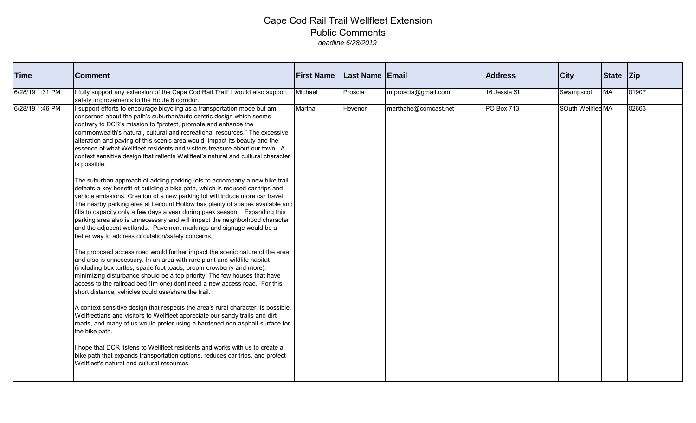| <b>Time</b>     | <b>Comment</b>                                                                                                                                                                                                                                                                                                                                                                                                                                                                                                                                                                                                                                                                                                                                                                                                                                                                                                                                                                                                                                                                                                                                                                                                                                                                                                                                                                                                                                                                                                                                                                                                                                                                                                                                                                                                                                                                                                                                                                                                                                                                                                                        | <b>First Name</b> | Last Name Email |                      | <b>Address</b>    | <b>City</b>       | State Zip |       |
|-----------------|---------------------------------------------------------------------------------------------------------------------------------------------------------------------------------------------------------------------------------------------------------------------------------------------------------------------------------------------------------------------------------------------------------------------------------------------------------------------------------------------------------------------------------------------------------------------------------------------------------------------------------------------------------------------------------------------------------------------------------------------------------------------------------------------------------------------------------------------------------------------------------------------------------------------------------------------------------------------------------------------------------------------------------------------------------------------------------------------------------------------------------------------------------------------------------------------------------------------------------------------------------------------------------------------------------------------------------------------------------------------------------------------------------------------------------------------------------------------------------------------------------------------------------------------------------------------------------------------------------------------------------------------------------------------------------------------------------------------------------------------------------------------------------------------------------------------------------------------------------------------------------------------------------------------------------------------------------------------------------------------------------------------------------------------------------------------------------------------------------------------------------------|-------------------|-----------------|----------------------|-------------------|-------------------|-----------|-------|
| 6/28/19 1:31 PM | I fully support any extension of the Cape Cod Rail Trail! I would also support<br>safety improvements to the Route 6 corridor.                                                                                                                                                                                                                                                                                                                                                                                                                                                                                                                                                                                                                                                                                                                                                                                                                                                                                                                                                                                                                                                                                                                                                                                                                                                                                                                                                                                                                                                                                                                                                                                                                                                                                                                                                                                                                                                                                                                                                                                                        | Michael           | Proscia         | mtproscia@gmail.com  | 16 Jessie St      | Swampscott        | <b>MA</b> | 01907 |
| 6/28/19 1:46 PM | I support efforts to encourage bicycling as a transportation mode but am<br>concerned about the path's suburban/auto centric design which seems<br>contrary to DCR's mission to "protect, promote and enhance the<br>commonwealth's natural, cultural and recreational resources." The excessive<br>alteration and paving of this scenic area would impact its beauty and the<br>essence of what Wellfleet residents and visitors treasure about our town. A<br>context sensitive design that reflects Wellfleet's natural and cultural character<br>is possible.<br>The suburban approach of adding parking lots to accompany a new bike trail<br>defeats a key benefit of building a bike path, which is reduced car trips and<br>vehicle emissions. Creation of a new parking lot will induce more car travel.<br>The nearby parking area at Lecount Hollow has plenty of spaces available and<br>fills to capacity only a few days a year during peak season. Expanding this<br>parking area also is unnecessary and will impact the neighborhood character<br>and the adjacent wetlands. Pavement markings and signage would be a<br>better way to address circulation/safety concerns.<br>The proposed access road would further impact the scenic nature of the area<br>and also is unnecessary. In an area with rare plant and wildlife habitat<br>(including box turtles, spade foot toads, broom crowberry and more),<br>minimizing disturbance should be a top priority. The few houses that have<br>access to the railroad bed (Im one) dont need a new access road. For this<br>short distance, vehicles could use/share the trail.<br>A context sensitive design that respects the area's rural character is possible.<br>Wellfleetians and visitors to Wellfleet appreciate our sandy trails and dirt<br>roads, and many of us would prefer using a hardened non asphalt surface for<br>the bike path.<br>I hope that DCR listens to Wellfleet residents and works with us to create a<br>bike path that expands transportation options, reduces car trips, and protect<br>Wellfleet's natural and cultural resources. | Martha            | Hevenor         | marthahe@comcast.net | <b>PO Box 713</b> | SOuth Wellflee MA |           | 02663 |
|                 |                                                                                                                                                                                                                                                                                                                                                                                                                                                                                                                                                                                                                                                                                                                                                                                                                                                                                                                                                                                                                                                                                                                                                                                                                                                                                                                                                                                                                                                                                                                                                                                                                                                                                                                                                                                                                                                                                                                                                                                                                                                                                                                                       |                   |                 |                      |                   |                   |           |       |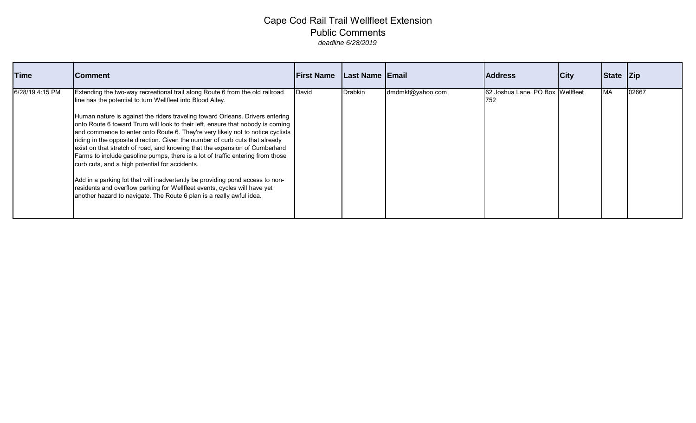| <b>Time</b>     | <b>Comment</b>                                                                                                                                                                                                                                                                                                                                                                                                                                                                                                                                                                                                                                                                                                                                                                                                                                                                                                                            | <b>First Name</b> | Last Name Email |                  | <b>Address</b>                          | <b>City</b> | State Zip |       |
|-----------------|-------------------------------------------------------------------------------------------------------------------------------------------------------------------------------------------------------------------------------------------------------------------------------------------------------------------------------------------------------------------------------------------------------------------------------------------------------------------------------------------------------------------------------------------------------------------------------------------------------------------------------------------------------------------------------------------------------------------------------------------------------------------------------------------------------------------------------------------------------------------------------------------------------------------------------------------|-------------------|-----------------|------------------|-----------------------------------------|-------------|-----------|-------|
| 6/28/19 4:15 PM | Extending the two-way recreational trail along Route 6 from the old railroad<br>line has the potential to turn Wellfleet into Blood Alley.<br>Human nature is against the riders traveling toward Orleans. Drivers entering<br>onto Route 6 toward Truro will look to their left, ensure that nobody is coming<br>and commence to enter onto Route 6. They're very likely not to notice cyclists<br>riding in the opposite direction. Given the number of curb cuts that already<br>exist on that stretch of road, and knowing that the expansion of Cumberland<br>Farms to include gasoline pumps, there is a lot of traffic entering from those<br>curb cuts, and a high potential for accidents.<br>Add in a parking lot that will inadvertently be providing pond access to non-<br>residents and overflow parking for Wellfleet events, cycles will have yet<br>another hazard to navigate. The Route 6 plan is a really awful idea. | David             | <b>Drabkin</b>  | dmdmkt@yahoo.com | 62 Joshua Lane, PO Box Wellfleet<br>752 |             | <b>MA</b> | 02667 |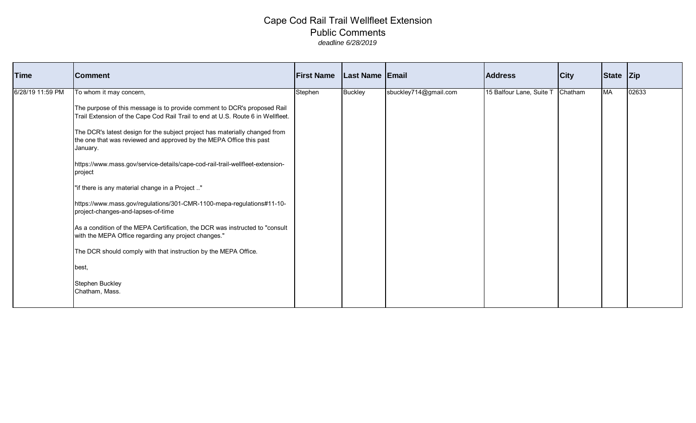| Time             | <b>Comment</b>                                                                                                                                                 | <b>First Name</b> | <b>Last Name Email</b> |                       | <b>Address</b>                   | <b>City</b> | State Zip |       |
|------------------|----------------------------------------------------------------------------------------------------------------------------------------------------------------|-------------------|------------------------|-----------------------|----------------------------------|-------------|-----------|-------|
| 6/28/19 11:59 PM | To whom it may concern,                                                                                                                                        | Stephen           | <b>Buckley</b>         | sbuckley714@gmail.com | 15 Balfour Lane, Suite T Chatham |             | MA        | 02633 |
|                  | The purpose of this message is to provide comment to DCR's proposed Rail<br>Trail Extension of the Cape Cod Rail Trail to end at U.S. Route 6 in Wellfleet.    |                   |                        |                       |                                  |             |           |       |
|                  | The DCR's latest design for the subject project has materially changed from<br>the one that was reviewed and approved by the MEPA Office this past<br>January. |                   |                        |                       |                                  |             |           |       |
|                  | https://www.mass.gov/service-details/cape-cod-rail-trail-wellfleet-extension-<br>project                                                                       |                   |                        |                       |                                  |             |           |       |
|                  | "if there is any material change in a Project "                                                                                                                |                   |                        |                       |                                  |             |           |       |
|                  | https://www.mass.gov/regulations/301-CMR-1100-mepa-regulations#11-10-<br>project-changes-and-lapses-of-time                                                    |                   |                        |                       |                                  |             |           |       |
|                  | As a condition of the MEPA Certification, the DCR was instructed to "consult<br>with the MEPA Office regarding any project changes."                           |                   |                        |                       |                                  |             |           |       |
|                  | The DCR should comply with that instruction by the MEPA Office.                                                                                                |                   |                        |                       |                                  |             |           |       |
|                  | best,                                                                                                                                                          |                   |                        |                       |                                  |             |           |       |
|                  | Stephen Buckley<br>Chatham, Mass.                                                                                                                              |                   |                        |                       |                                  |             |           |       |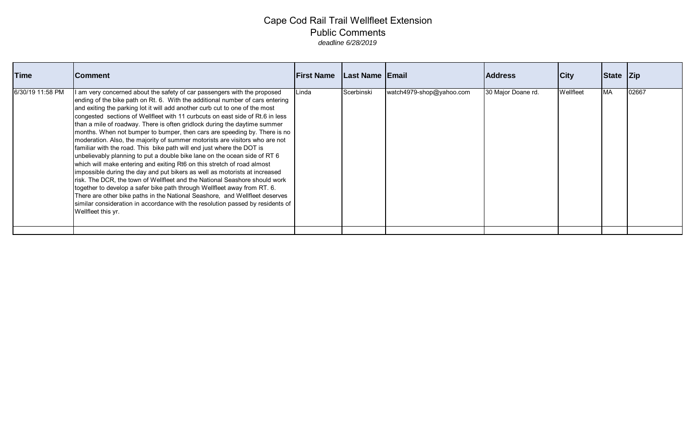| <b>Time</b>      | <b>Comment</b>                                                                                                                                                                                                                                                                                                                                                                                                                                                                                                                                                                                                                                                                                                                                                                                                                                                                                                                                                                                                                                                                                                                                                                                                                     | <b>IFirst Name</b> | Last Name Email |                          | <b>Address</b>     | City      | State Zip |       |
|------------------|------------------------------------------------------------------------------------------------------------------------------------------------------------------------------------------------------------------------------------------------------------------------------------------------------------------------------------------------------------------------------------------------------------------------------------------------------------------------------------------------------------------------------------------------------------------------------------------------------------------------------------------------------------------------------------------------------------------------------------------------------------------------------------------------------------------------------------------------------------------------------------------------------------------------------------------------------------------------------------------------------------------------------------------------------------------------------------------------------------------------------------------------------------------------------------------------------------------------------------|--------------------|-----------------|--------------------------|--------------------|-----------|-----------|-------|
| 6/30/19 11:58 PM | I am very concerned about the safety of car passengers with the proposed<br>ending of the bike path on Rt. 6. With the additional number of cars entering<br>and exiting the parking lot it will add another curb cut to one of the most<br>congested sections of Wellfleet with 11 curbcuts on east side of Rt.6 in less<br>than a mile of roadway. There is often gridlock during the daytime summer<br>months. When not bumper to bumper, then cars are speeding by. There is no<br>moderation. Also, the majority of summer motorists are visitors who are not<br>familiar with the road. This bike path will end just where the DOT is<br>unbelievably planning to put a double bike lane on the ocean side of RT 6<br>which will make entering and exiting Rt6 on this stretch of road almost<br>impossible during the day and put bikers as well as motorists at increased<br>risk. The DCR, the town of Wellfleet and the National Seashore should work<br>together to develop a safer bike path through Wellfleet away from RT. 6.<br>There are other bike paths in the National Seashore, and Wellfleet deserves<br>similar consideration in accordance with the resolution passed by residents of<br>Wellfleet this yr. | Linda              | Scerbinski      | watch4979-shop@yahoo.com | 30 Major Doane rd. | Wellfleet | <b>MA</b> | 02667 |
|                  |                                                                                                                                                                                                                                                                                                                                                                                                                                                                                                                                                                                                                                                                                                                                                                                                                                                                                                                                                                                                                                                                                                                                                                                                                                    |                    |                 |                          |                    |           |           |       |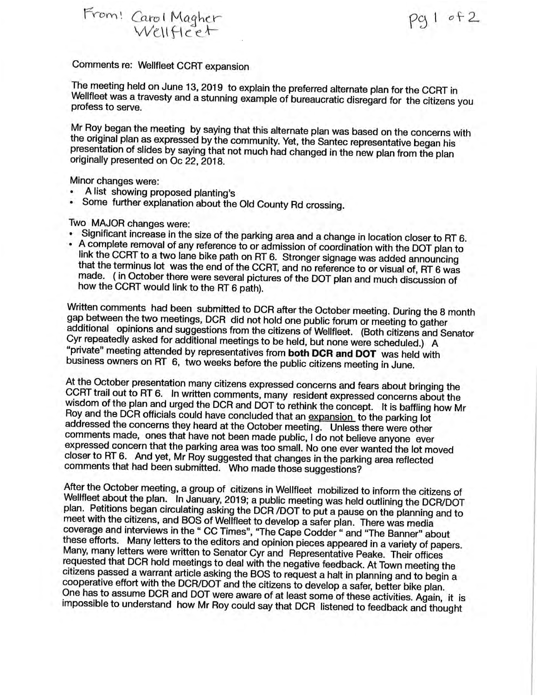From! Carol Magher<br>Wellfleet

 $cot 1$  of 2

Comments re: Wellfleet CCRT expansion

The meeting held on June 13, 2019 to explain the preferred alternate plan for the CCRT in Wellfleet was a travesty and a stunning example of bureaucratic disregard for the citizens you profess to serve.

Mr Roy began the meeting by saying that this alternate plan was based on the concerns with the original plan as expressed by the community. Yet, the Santec representative began his presentation of slides by saying that not much had changed in the new plan from the plan originally presented on Oc 22, 2018.

Minor changes were:

- A list showing proposed planting's
- Some further explanation about the Old County Rd crossing.

Two MAJOR changes were:

- · Significant increase in the size of the parking area and a change in location closer to RT 6.
- A complete removal of any reference to or admission of coordination with the DOT plan to link the CCRT to a two lane bike path on RT 6. Stronger signage was added announcing that the terminus lot was the end of the CCRT, and no reference to or visual of, RT 6 was made. (in October there were several pictures of the DOT plan and much discussion of how the CCRT would link to the RT 6 path).

Written comments had been submitted to DCR after the October meeting. During the 8 month gap between the two meetings, DCR did not hold one public forum or meeting to gather additional opinions and suggestions from the citizens of Wellfleet. (Both citizens and Senator Cyr repeatedly asked for additional meetings to be held, but none were scheduled.) A "private" meeting attended by representatives from both DCR and DOT was held with business owners on RT 6, two weeks before the public citizens meeting in June.

At the October presentation many citizens expressed concerns and fears about bringing the CCRT trail out to RT 6. In written comments, many resident expressed concerns about the wisdom of the plan and urged the DCR and DOT to rethink the concept. It is baffling how Mr Roy and the DCR officials could have concluded that an expansion to the parking lot addressed the concerns they heard at the October meeting. Unless there were other comments made, ones that have not been made public, I do not believe anyone ever expressed concern that the parking area was too small. No one ever wanted the lot moved closer to RT 6. And yet, Mr Roy suggested that changes in the parking area reflected comments that had been submitted. Who made those suggestions?

After the October meeting, a group of citizens in Wellfleet mobilized to inform the citizens of Wellfleet about the plan. In January, 2019; a public meeting was held outlining the DCR/DOT plan. Petitions began circulating asking the DCR /DOT to put a pause on the planning and to meet with the citizens, and BOS of Wellfleet to develop a safer plan. There was media coverage and interviews in the " CC Times", "The Cape Codder " and "The Banner" about these efforts. Many letters to the editors and opinion pieces appeared in a variety of papers. Many, many letters were written to Senator Cyr and Representative Peake. Their offices requested that DCR hold meetings to deal with the negative feedback. At Town meeting the citizens passed a warrant article asking the BOS to request a halt in planning and to begin a cooperative effort with the DCR/DOT and the citizens to develop a safer, better bike plan. One has to assume DCR and DOT were aware of at least some of these activities. Again, it is impossible to understand how Mr Roy could say that DCR listened to feedback and thought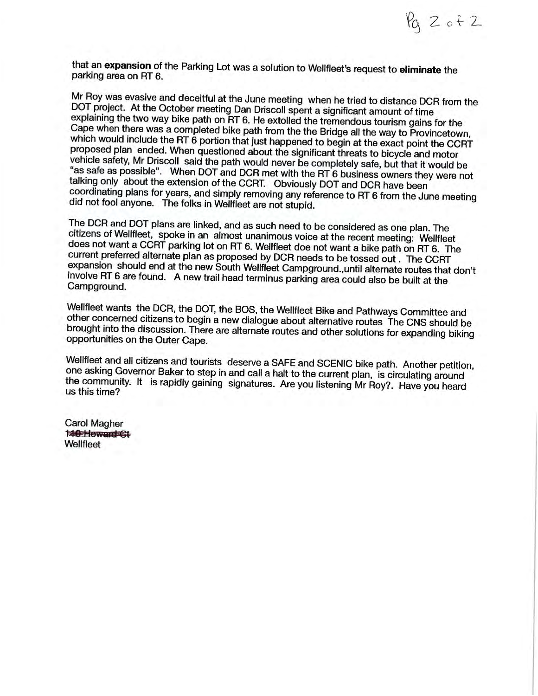$Pa2$  of 2

that an expansion of the Parking Lot was a solution to Wellfleet's request to eliminate the parking area on RT 6.

Mr Roy was evasive and deceitful at the June meeting when he tried to distance DCR from the DOT project. At the October meeting Dan Driscoll spent a significant amount of time explaining the two way bike path on RT 6. He extolled the tremendous tourism gains for the Cape when there was a completed bike path from the the Bridge all the way to Provincetown, which would include the RT 6 portion that just happened to begin at the exact point the CCRT proposed plan ended. When questioned about the significant threats to bicycle and motor vehicle safety, Mr Driscoll said the path would never be completely safe, but that it would be "as safe as possible". When DOT and DCR met with the RT 6 business owners they were not talking only about the extension of the CCRT. Obviously DOT and DCR have been coordinating plans for years, and simply removing any reference to RT 6 from the June meeting did not fool anyone. The folks in Wellfleet are not stupid.

The DCR and DOT plans are linked, and as such need to be considered as one plan. The citizens of Wellfleet, spoke in an almost unanimous voice at the recent meeting: Wellfleet does not want a CCRT parking lot on RT 6. Wellfleet doe not want a bike path on RT 6. The current preferred alternate plan as proposed by DCR needs to be tossed out. The CCRT expansion should end at the new South Wellfleet Campground., until alternate routes that don't involve RT 6 are found. A new trail head terminus parking area could also be built at the Campground.

Wellfleet wants the DCR, the DOT, the BOS, the Wellfleet Bike and Pathways Committee and other concerned citizens to begin a new dialogue about alternative routes The CNS should be brought into the discussion. There are alternate routes and other solutions for expanding biking opportunities on the Outer Cape.

Wellfleet and all citizens and tourists deserve a SAFE and SCENIC bike path. Another petition, one asking Governor Baker to step in and call a halt to the current plan, is circulating around the community. It is rapidly gaining signatures. Are you listening Mr Roy?. Have you heard us this time?

**Carol Magher M& Howard CH** Wellfleet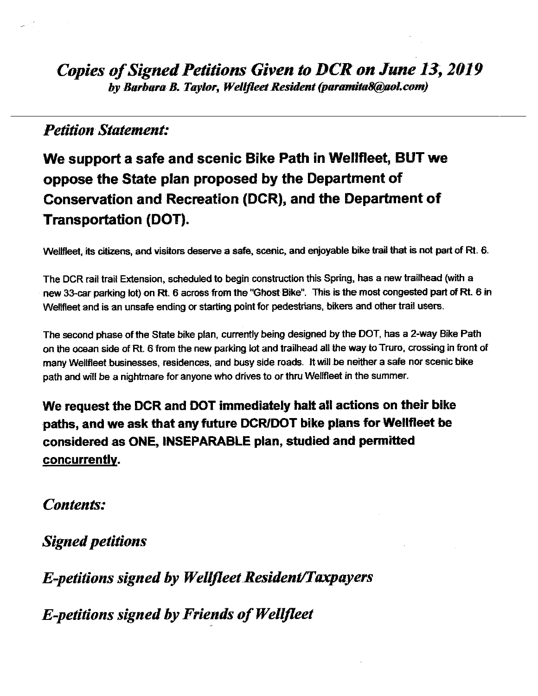### **Petition Statement:**

# We support a safe and scenic Bike Path in Wellfleet, BUT we oppose the State plan proposed by the Department of Conservation and Recreation (DCR), and the Department of **Transportation (DOT).**

Wellfleet, its citizens, and visitors deserve a safe, scenic, and enjoyable bike trail that is not part of Rt. 6.

The DCR rail trail Extension, scheduled to begin construction this Spring, has a new trailhead (with a new 33-car parking lot) on Rt. 6 across from the "Ghost Bike". This is the most congested part of Rt. 6 in Wellfleet and is an unsafe ending or starting point for pedestrians, bikers and other trail users.

The second phase of the State bike plan, currently being designed by the DOT, has a 2-way Bike Path on the ocean side of Rt. 6 from the new parking lot and trailhead all the way to Truro, crossing in front of many Wellfleet businesses, residences, and busy side roads. It will be neither a safe nor scenic bike path and will be a nightmare for anyone who drives to or thru Wellfleet in the summer.

We request the DCR and DOT immediately halt all actions on their bike paths, and we ask that any future DCR/DOT bike plans for Wellfleet be considered as ONE, INSEPARABLE plan, studied and permitted <u>concurrently</u>.

**Contents:** 

**Signed petitions** 

**E-petitions signed by Wellfleet Resident/Taxpayers** 

**E-petitions signed by Friends of Wellfleet**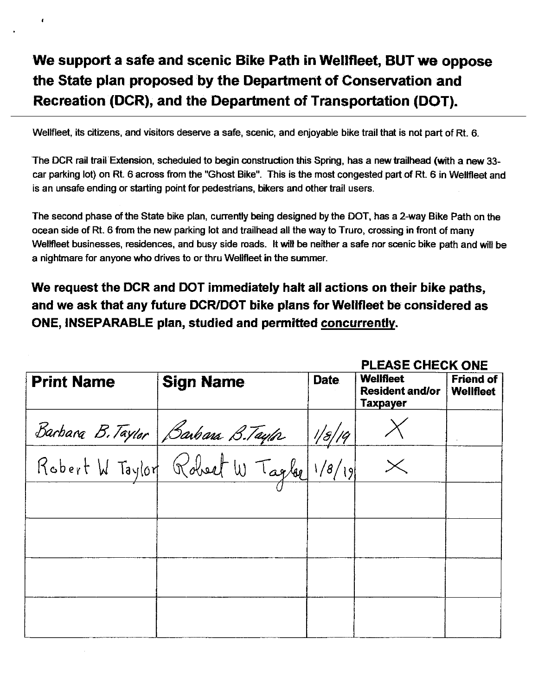Wellfleet, its citizens, and visitors deserve a safe, scenic, and enjoyable bike trail that is not part of Rt. 6.

The DCR rail trail Extension, scheduled to begin construction this Spring, has a new trailhead (with a new 33car parking lot) on Rt. 6 across from the "Ghost Bike". This is the most congested part of Rt. 6 in Wellfleet and is an unsafe ending or starting point for pedestrians, bikers and other trail users.

The second phase of the State bike plan, currently being designed by the DOT, has a 2-way Bike Path on the ocean side of Rt. 6 from the new parking lot and trailhead all the way to Truro, crossing in front of many Wellfleet businesses, residences, and busy side roads. It will be neither a safe nor scenic bike path and will be a nightmare for anyone who drives to or thru Wellfleet in the summer.

We request the DCR and DOT immediately halt all actions on their bike paths. and we ask that any future DCR/DOT bike plans for Wellfleet be considered as ONE, INSEPARABLE plan, studied and permitted concurrently.

**CAGE CUCCIZ ONE** 

|                   |                                        | FLEAJE UREUN UNE |                                                 |                                      |  |
|-------------------|----------------------------------------|------------------|-------------------------------------------------|--------------------------------------|--|
| <b>Print Name</b> | <b>Sign Name</b>                       | <b>Date</b>      | Wellfleet<br><b>Resident and/or</b><br>Taxpayer | <b>Friend of</b><br><b>Wellfleet</b> |  |
|                   | Barbara B. Taylor   Barbara B. Taylor  | 1/8/19           |                                                 |                                      |  |
|                   | Robert W Taylor Robert W Tagler 1/8/19 |                  |                                                 |                                      |  |
|                   |                                        |                  |                                                 |                                      |  |
|                   |                                        |                  |                                                 |                                      |  |
|                   |                                        |                  |                                                 |                                      |  |
|                   |                                        |                  |                                                 |                                      |  |
|                   |                                        |                  |                                                 |                                      |  |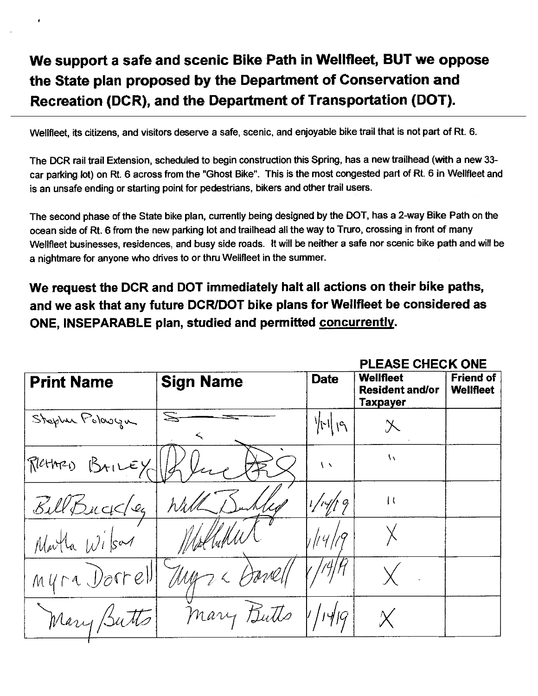Wellfleet, its citizens, and visitors deserve a safe, scenic, and enjoyable bike trail that is not part of Rt. 6.

The DCR rail trail Extension, scheduled to begin construction this Spring, has a new trailhead (with a new 33car parking lot) on Rt. 6 across from the "Ghost Bike". This is the most congested part of Rt. 6 in Wellfleet and is an unsafe ending or starting point for pedestrians, bikers and other trail users.

The second phase of the State bike plan, currently being designed by the DOT, has a 2-way Bike Path on the ocean side of Rt. 6 from the new parking lot and trailhead all the way to Truro, crossing in front of many Wellfleet businesses, residences, and busy side roads. It will be neither a safe nor scenic bike path and will be a nightmare for anyone who drives to or thru Wellfleet in the summer.

We request the DCR and DOT immediately halt all actions on their bike paths, and we ask that any future DCR/DOT bike plans for Wellfleet be considered as ONE, INSEPARABLE plan, studied and permitted concurrently.

DI FACE OUFOIX ONE

|                   |                          |                          | PLEAJE UNEUR UNE                                |                                      |
|-------------------|--------------------------|--------------------------|-------------------------------------------------|--------------------------------------|
| <b>Print Name</b> | <b>Sign Name</b>         | <b>Date</b>              | Wellfleet<br><b>Resident and/or</b><br>Taxpayer | <b>Friend of</b><br><b>Wellfleet</b> |
| Stephen Polowyn   |                          | $\ r\ _{\mathfrak{l}^q}$ | $\chi$                                          |                                      |
| RICHARD BAILEY    |                          | $\sqrt{2}$               | $\overline{N}$                                  |                                      |
| Bill Buckley      | Will                     | 1/14/19                  | $\mathbf{1}$                                    |                                      |
| Marta Wilson      | MoltuMW                  | $\eta$ //4/19            |                                                 |                                      |
|                   | Myra Dorrell Myr & Davel |                          |                                                 |                                      |
| Mary Butts        | mary Butts               | 1/14 q                   |                                                 |                                      |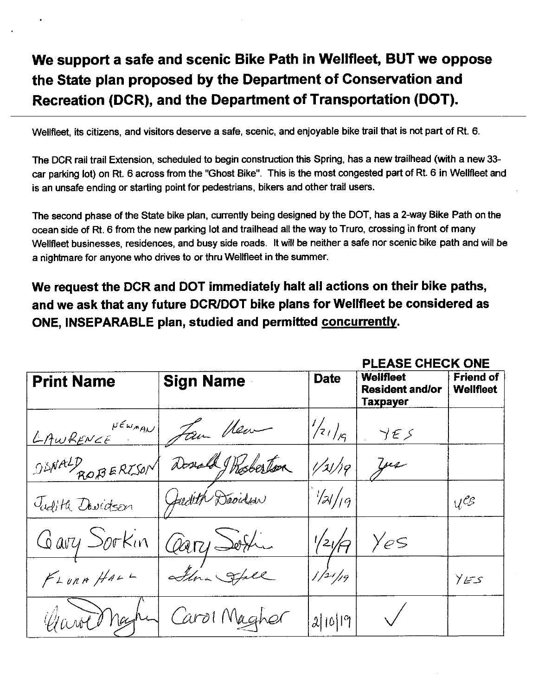Wellfleet, its citizens, and visitors deserve a safe, scenic, and enjoyable bike trail that is not part of Rt. 6.

The DCR rail trail Extension, scheduled to begin construction this Spring, has a new trailhead (with a new 33car parking lot) on Rt. 6 across from the "Ghost Bike". This is the most congested part of Rt. 6 in Wellfleet and is an unsafe ending or starting point for pedestrians, bikers and other trail users.

The second phase of the State bike plan, currently being designed by the DOT, has a 2-way Bike Path on the ocean side of Rt. 6 from the new parking lot and trailhead all the way to Truro, crossing in front of many Wellfleet businesses, residences, and busy side roads. It will be neither a safe nor scenic bike path and will be a nightmare for anyone who drives to or thru Wellfleet in the summer.

### We request the DCR and DOT immediately halt all actions on their bike paths, and we ask that any future DCR/DOT bike plans for Wellfleet be considered as ONE, INSEPARABLE plan, studied and permitted concurrently.

DI EAGE CUECIZ ONE

|                   |                  |               | MLEAJE VNEVN VNE                                       |                               |
|-------------------|------------------|---------------|--------------------------------------------------------|-------------------------------|
| <b>Print Name</b> | <b>Sign Name</b> | <b>Date</b>   | <b>Welifleet</b><br><b>Resident and/or</b><br>Taxpayer | <b>Friend of</b><br>Wellfleet |
| LAWRENCE PENAN    | Jan Hen          | $\frac{1}{2}$ | YES                                                    |                               |
| DINALD ROBERISON  | Donald Wasberton | $1/x$ /19     | yu                                                     |                               |
| Tudith Dovidson   | Gudith Deviden   | $\frac{1}{2}$ |                                                        | $U^{\ell\mathcal{E}}$         |
| Gary Sorkin       | Cary Sofin       | $^{'}21/$     | Yes                                                    |                               |
| FLonAHAL          | Jena Stall       | 1/21/19       |                                                        | ى تىئا (                      |
| Grant Mag         | Carol Magher     | 2/10/19       |                                                        |                               |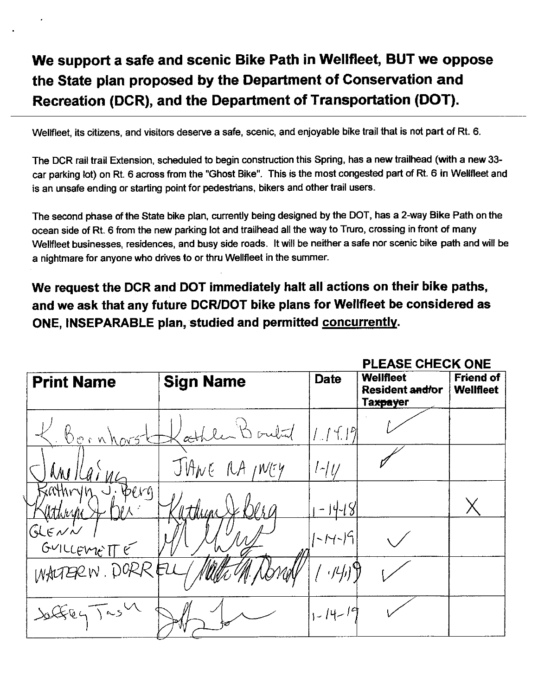Wellfleet, its citizens, and visitors deserve a safe, scenic, and enjoyable bike trail that is not part of Rt. 6.

The DCR rail trail Extension, scheduled to begin construction this Spring, has a new trailhead (with a new 33car parking lot) on Rt. 6 across from the "Ghost Bike". This is the most congested part of Rt. 6 in Wellfleet and is an unsafe ending or starting point for pedestrians, bikers and other trail users.

The second phase of the State bike plan, currently being designed by the DOT, has a 2-way Bike Path on the ocean side of Rt. 6 from the new parking lot and trailhead all the way to Truro, crossing in front of many Wellfleet businesses, residences, and busy side roads. It will be neither a safe nor scenic bike path and will be a nightmare for anyone who drives to or thru Wellfleet in the summer.

We request the DCR and DOT immediately halt all actions on their bike paths, and we ask that any future DCR/DOT bike plans for Wellfleet be considered as ONE, INSEPARABLE plan, studied and permitted concurrently.

|                         |                  |                            | PLEASE CHECK ONE                                                    |                                      |
|-------------------------|------------------|----------------------------|---------------------------------------------------------------------|--------------------------------------|
| <b>Print Name</b>       | <b>Sign Name</b> | <b>Date</b>                | <b>Wellfleet</b><br><b>Resident and/or</b><br>Ta <del>xpay</del> er | <b>Friend of</b><br><b>Wellfleet</b> |
| Bornhors                | athler Bould     | 1.111                      |                                                                     |                                      |
|                         | JUANE RA INGY    | $l$ - $ U $                |                                                                     |                                      |
| athryn J Berg<br>athiya | thun             | $-14-18$                   |                                                                     |                                      |
| GLEVV<br>GUILLEMETTE    |                  | 1-14-19                    |                                                                     |                                      |
| WALTERN. DORRELL        |                  | $\left(\frac{1}{2}\right)$ |                                                                     |                                      |
| Saffey Tash             |                  | $1, -14 - 19$              |                                                                     |                                      |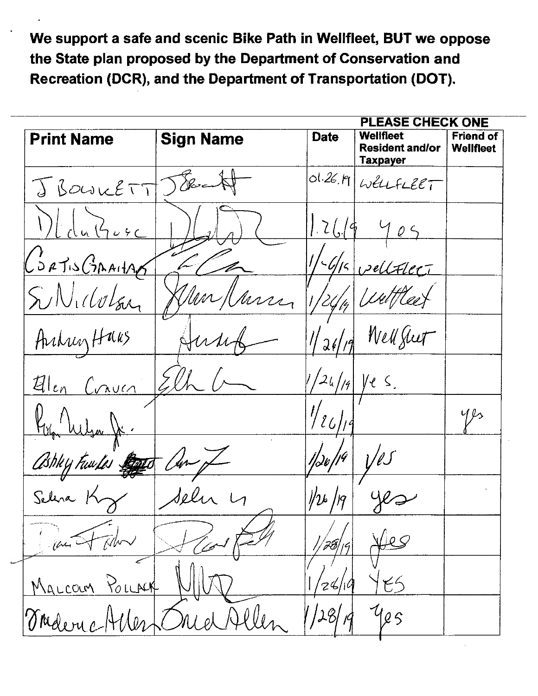**PLEASE CHECK ONE Print Name Sign Name** Wellfleet **Friend of Date Resident and/or Weilfleet Taxpayer**  $ol.26.19$ Desc WELLFLEET J BOUILETT  $|2($ CORTISCIANTAE  $\mathscr{G}/\mathscr{G}$ vellater SINICOLER arra Well Juet ArcheyHaus  $\ell$  S. Alen Craven  $493$  $\ell\ell$ 'Un Ashky Fuwdes Jolen Sele your D .<br>Mw MALCOUM POLLACK  $24/10$ Maleric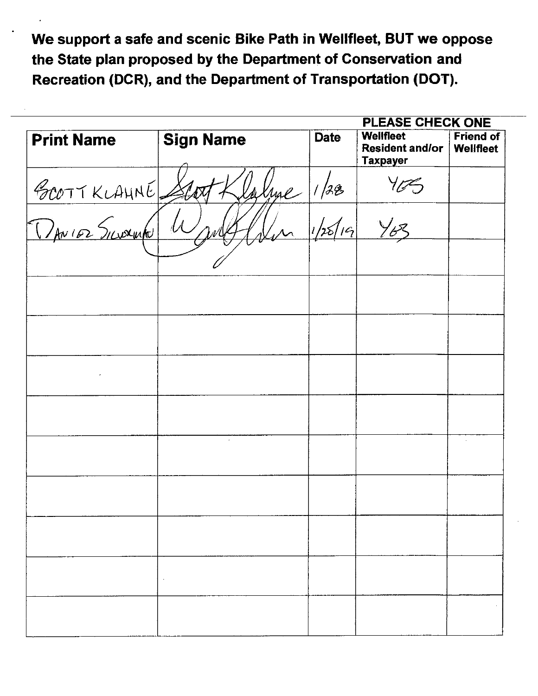|                   |                  | <b>PLEASE CHECK ONE</b> |                                                               |                                      |
|-------------------|------------------|-------------------------|---------------------------------------------------------------|--------------------------------------|
| <b>Print Name</b> | <b>Sign Name</b> | <b>Date</b>             | <b>Wellfleet</b><br><b>Resident and/or</b><br><b>Taxpayer</b> | <b>Friend of</b><br><b>Wellfleet</b> |
|                   | aluge            | 1/32                    |                                                               |                                      |
| BOOTTKLAHNE.      |                  | 1/25/19                 | Y63                                                           |                                      |
|                   |                  |                         |                                                               |                                      |
|                   |                  |                         |                                                               |                                      |
|                   |                  |                         |                                                               |                                      |
|                   |                  |                         |                                                               |                                      |
|                   |                  |                         |                                                               |                                      |
|                   | $\omega$         |                         |                                                               |                                      |
|                   |                  |                         |                                                               |                                      |
|                   |                  |                         |                                                               |                                      |
|                   |                  |                         |                                                               |                                      |
|                   |                  |                         |                                                               |                                      |
|                   |                  |                         |                                                               |                                      |
|                   |                  |                         |                                                               |                                      |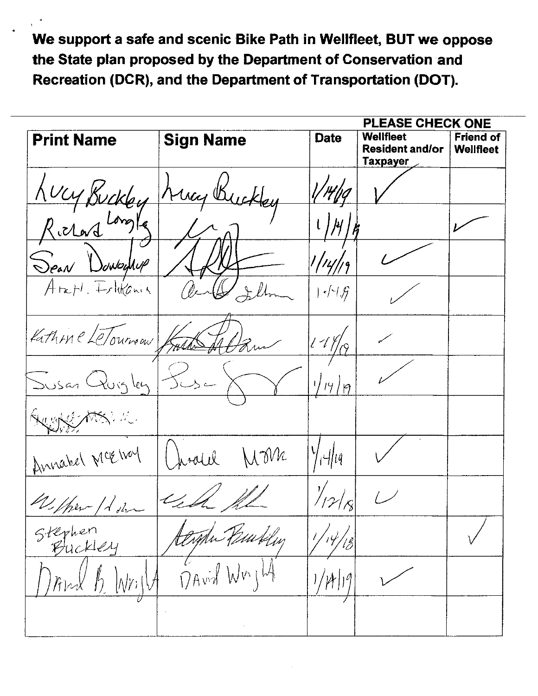|                        | PLEASE CHECK ONE |                                     |                                                               |                                      |
|------------------------|------------------|-------------------------------------|---------------------------------------------------------------|--------------------------------------|
| <b>Print Name</b>      | <b>Sign Name</b> | <b>Date</b>                         | <b>Wellfleet</b><br><b>Resident and/or</b><br><b>Taxpayer</b> | <b>Friend of</b><br><b>Wellfleet</b> |
| Lucy Buck              | May Buckley      |                                     |                                                               |                                      |
| Richard Long           |                  | /4                                  |                                                               |                                      |
| $\int$ PaN<br>SowbyNup |                  | 14                                  |                                                               |                                      |
| Arapl. Folitania       |                  | $ \cdot $ - $ \cdot $ $\mathscr{G}$ |                                                               |                                      |
| Kathine LeTourneau     |                  | $11\%$                              |                                                               |                                      |
| Susan Quigley          | سم پر ک          | 1/19/9                              |                                                               |                                      |
| de 14.                 |                  |                                     |                                                               |                                      |
| Annabel McElvay        | U Ma<br>inlel    | $\frac{1}{4}$ lg                    |                                                               |                                      |
| Welker / Low           |                  |                                     |                                                               |                                      |
| Stephen<br>Buckley     | Mr Peubley       | 14/18                               |                                                               |                                      |
| $\hbar$                | DAvid Wuik       | 'µ' 19                              |                                                               |                                      |
|                        |                  |                                     |                                                               |                                      |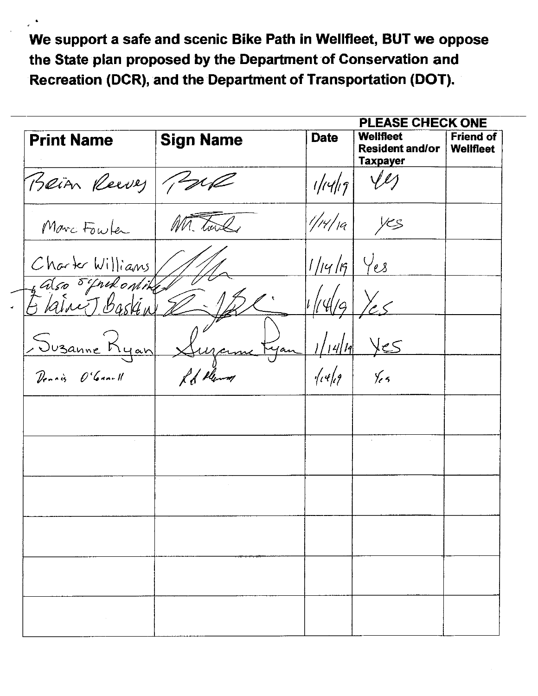|                                                                                     |                  | PLEASE CHECK ONE |                                                               |                                      |  |  |  |
|-------------------------------------------------------------------------------------|------------------|------------------|---------------------------------------------------------------|--------------------------------------|--|--|--|
| <b>Print Name</b>                                                                   | <b>Sign Name</b> | <b>Date</b>      | <b>Wellfleet</b><br><b>Resident and/or</b><br><b>Taxpayer</b> | <b>Friend of</b><br><b>Wellfleet</b> |  |  |  |
| Bein Reeves Paul                                                                    |                  | 1/14/19          |                                                               |                                      |  |  |  |
| Marc Fowler                                                                         | Mr. Toul         | 1/14/19          | yes                                                           |                                      |  |  |  |
| Charter Williams                                                                    |                  | 1/14/19          | Yes                                                           |                                      |  |  |  |
| Also Elfredonike<br>5 Karne T Baskin                                                |                  | ' 4/9            |                                                               |                                      |  |  |  |
| <u>Suzanne Kyan</u>                                                                 |                  | 14/11<br>yan     | كح                                                            |                                      |  |  |  |
| Dennis O'Ganull                                                                     | I de plem        | $\sqrt{\ell}$    | $\frac{1}{2}$                                                 |                                      |  |  |  |
|                                                                                     |                  |                  |                                                               |                                      |  |  |  |
|                                                                                     |                  |                  |                                                               |                                      |  |  |  |
|                                                                                     | $\sim$           |                  |                                                               |                                      |  |  |  |
|                                                                                     |                  |                  |                                                               |                                      |  |  |  |
|                                                                                     |                  |                  |                                                               |                                      |  |  |  |
|                                                                                     |                  |                  |                                                               |                                      |  |  |  |
| $\mathcal{L}^{\text{max}}_{\text{max}}$ and $\mathcal{L}^{\text{max}}_{\text{max}}$ |                  |                  |                                                               |                                      |  |  |  |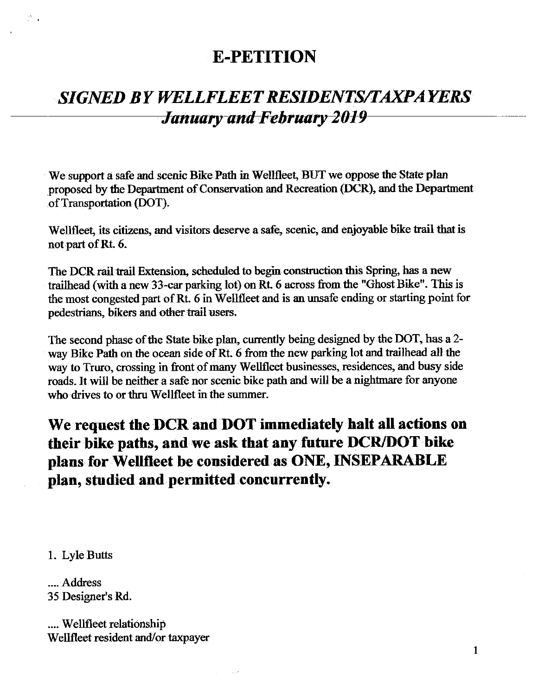## **E-PETITION**

# **SIGNED BY WELLFLEET RESIDENTS/TAXPAYERS January and February 2019**

We support a safe and scenic Bike Path in Wellfleet, BUT we oppose the State plan proposed by the Department of Conservation and Recreation (DCR), and the Department of Transportation (DOT).

Wellfleet, its citizens, and visitors deserve a safe, scenic, and enjoyable bike trail that is not part of Rt. 6.

The DCR rail trail Extension, scheduled to begin construction this Spring, has a new trailhead (with a new 33-car parking lot) on Rt. 6 across from the "Ghost Bike". This is the most congested part of Rt. 6 in Wellfleet and is an unsafe ending or starting point for pedestrians, bikers and other trail users.

The second phase of the State bike plan, currently being designed by the DOT, has a 2way Bike Path on the ocean side of Rt. 6 from the new parking lot and trailhead all the way to Truro, crossing in front of many Wellfleet businesses, residences, and busy side roads. It will be neither a safe nor scenic bike path and will be a nightmare for anyone who drives to or thru Wellfleet in the summer.

We request the DCR and DOT immediately halt all actions on their bike paths, and we ask that any future DCR/DOT bike plans for Wellfleet be considered as ONE, INSEPARABLE plan, studied and permitted concurrently.

1. Lyle Butts

.... Address 35 Designer's Rd.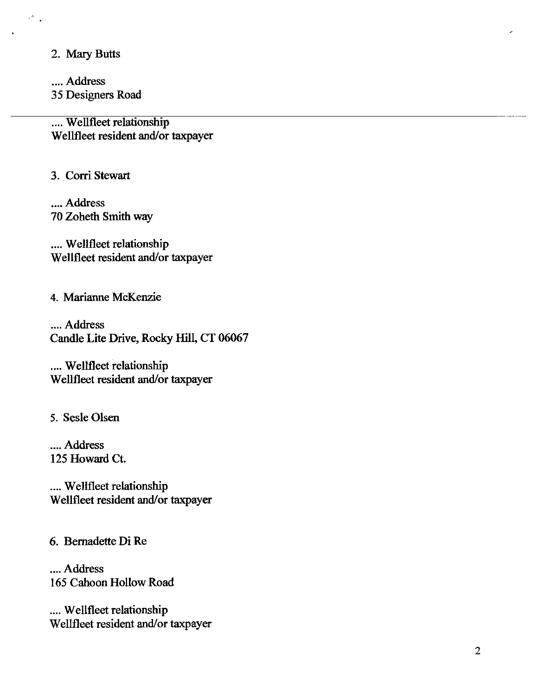2. Mary Butts

 $\sim$   $^{\prime}$  $\ddot{\phantom{1}}$ 

> .... Address 35 Designers Road

.... Wellfleet relationship Wellfleet resident and/or taxpayer

3. Corri Stewart

.... Address 70 Zoheth Smith way

.... Wellfleet relationship Wellfleet resident and/or taxpayer

4. Marianne McKenzie

.... Address Candle Lite Drive, Rocky Hill, CT 06067

.... Wellfleet relationship Wellfleet resident and/or taxpayer

5. Sesle Olsen

.... Address 125 Howard Ct.

.... Wellfleet relationship Wellfleet resident and/or taxpayer

6. Bernadette Di Re

.... Address 165 Cahoon Hollow Road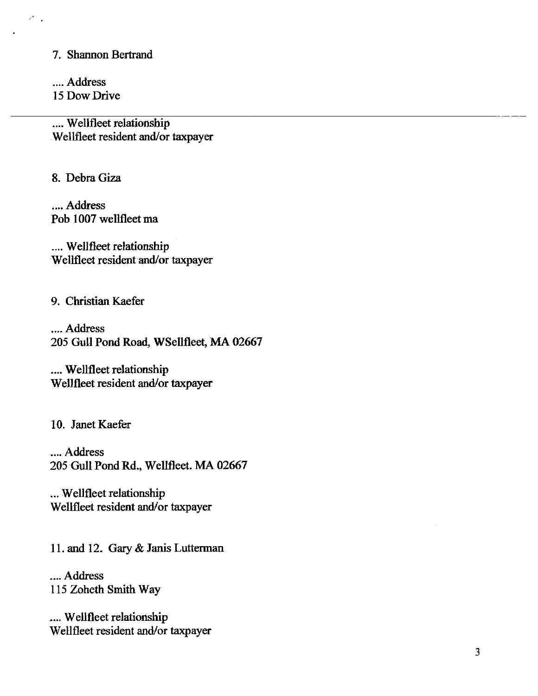7. Shannon Bertrand

.... Address 15 Dow Drive

 $\mathbf{A}$ 

.... Wellfleet relationship Wellfleet resident and/or taxpayer

8. Debra Giza

.... Address Pob 1007 wellfleet ma

.... Wellfleet relationship Wellfleet resident and/or taxpayer

9. Christian Kaefer

.... Address 205 Gull Pond Road, WSellfleet, MA 02667

.... Wellfleet relationship Wellfleet resident and/or taxpayer

10. Janet Kaefer

.... Address 205 Gull Pond Rd., Wellfleet. MA 02667

... Wellfleet relationship Wellfleet resident and/or taxpayer

11. and 12. Gary & Janis Lutterman

.... Address 115 Zoheth Smith Way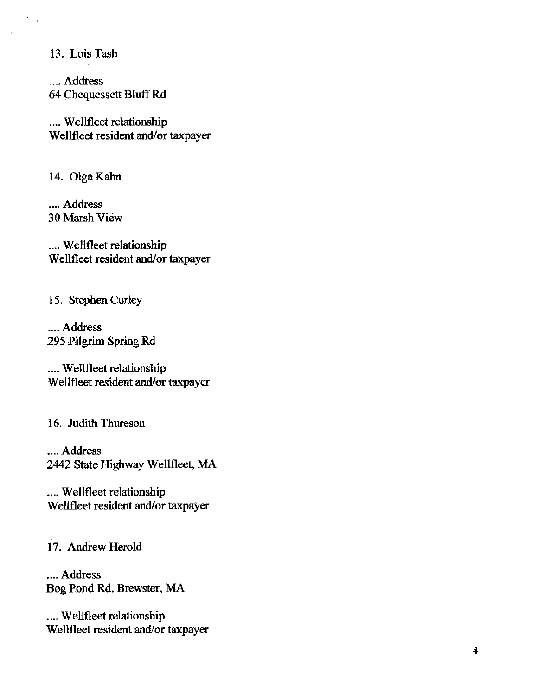13. Lois Tash

.... Address 64 Chequessett Bluff Rd

.... Wellfleet relationship Wellfleet resident and/or taxpayer

14. Olga Kahn

.... Address **30 Marsh View** 

.... Wellfleet relationship Wellfleet resident and/or taxpayer

15. Stephen Curley

.... Address 295 Pilgrim Spring Rd

.... Wellfleet relationship Wellfleet resident and/or taxpayer

16. Judith Thureson

.... Address 2442 State Highway Wellfleet, MA

.... Wellfleet relationship Wellfleet resident and/or taxpayer

17. Andrew Herold

.... Address Bog Pond Rd. Brewster, MA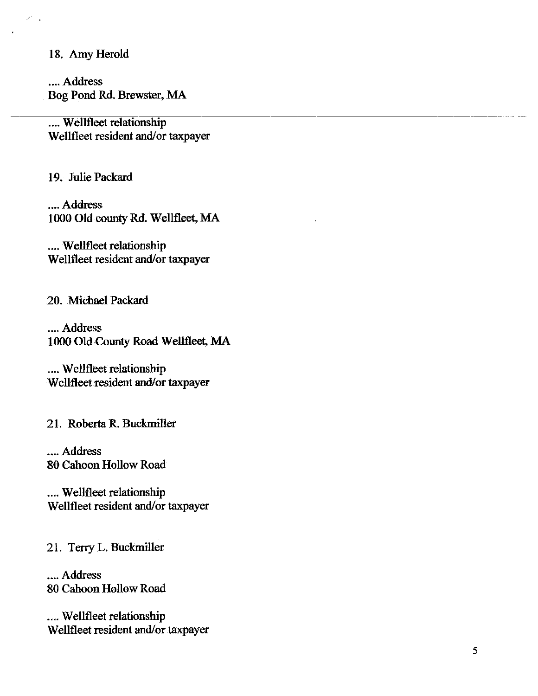#### 18. Amy Herold

.... Address Bog Pond Rd. Brewster, MA

.... Wellfleet relationship Wellfleet resident and/or taxpayer

19. Julie Packard

.... Address 1000 Old county Rd. Wellfleet, MA

.... Wellfleet relationship Wellfleet resident and/or taxpayer

20. Michael Packard

.... Address 1000 Old County Road Wellfleet, MA

.... Wellfleet relationship Wellfleet resident and/or taxpayer

21. Roberta R. Buckmiller

.... Address 80 Cahoon Hollow Road

.... Wellfleet relationship Wellfleet resident and/or taxpayer

21. Terry L. Buckmiller

.... Address 80 Cahoon Hollow Road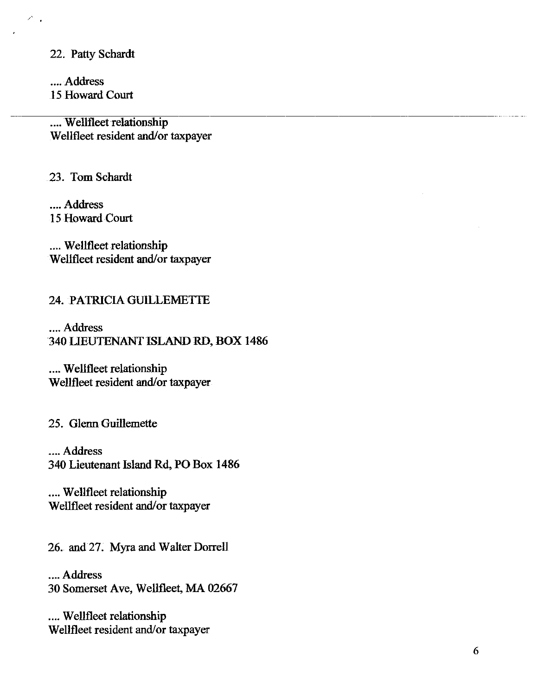22. Patty Schardt

.... Address 15 Howard Court

.... Wellfleet relationship Wellfleet resident and/or taxpayer

23. Tom Schardt

.... Address 15 Howard Court

.... Wellfleet relationship Wellfleet resident and/or taxpayer

#### 24. PATRICIA GUILLEMETTE

.... Address 340 LIEUTENANT ISLAND RD, BOX 1486

.... Wellfleet relationship Wellfleet resident and/or taxpayer

25. Glenn Guillemette

.... Address 340 Lieutenant Island Rd, PO Box 1486

.... Wellfleet relationship Wellfleet resident and/or taxpayer

26. and 27. Myra and Walter Dorrell

.... Address 30 Somerset Ave, Wellfleet, MA 02667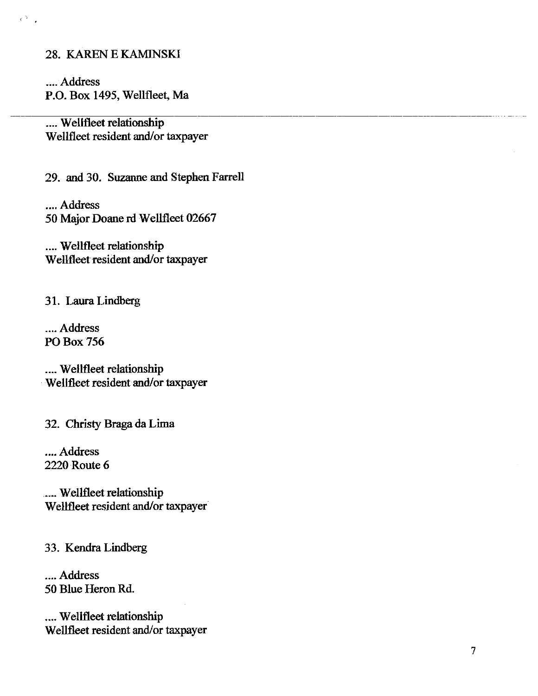#### 28. KAREN E KAMINSKI

 $\epsilon^{\Delta_{\rm{max}}}$  .

.... Address P.O. Box 1495, Wellfleet, Ma

.... Wellfleet relationship Wellfleet resident and/or taxpayer

29. and 30. Suzanne and Stephen Farrell

.... Address 50 Major Doane rd Wellfleet 02667

.... Wellfleet relationship Wellfleet resident and/or taxpayer

31. Laura Lindberg

.... Address PO Box 756

.... Wellfleet relationship Wellfleet resident and/or taxpayer

32. Christy Braga da Lima

.... Address 2220 Route 6

.... Wellfleet relationship Wellfleet resident and/or taxpayer

33. Kendra Lindberg

.... Address 50 Blue Heron Rd.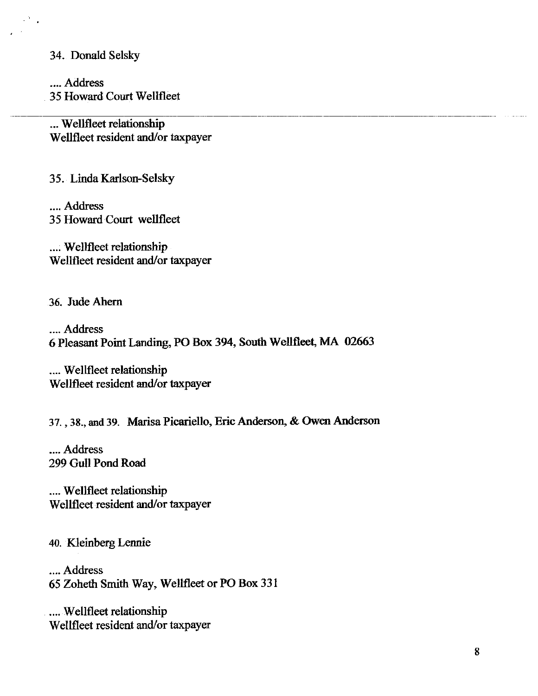#### 34. Donald Selsky

.... Address 35 Howard Court Wellfleet

... Wellfleet relationship Wellfleet resident and/or taxpayer

35. Linda Karlson-Selsky

.... Address 35 Howard Court wellfleet

.... Wellfleet relationship Wellfleet resident and/or taxpayer

36. Jude Ahern

.... Address 6 Pleasant Point Landing, PO Box 394, South Wellfleet, MA 02663

.... Wellfleet relationship Wellfleet resident and/or taxpayer

37., 38., and 39. Marisa Picariello, Eric Anderson, & Owen Anderson

.... Address 299 Gull Pond Road

.... Wellfleet relationship Wellfleet resident and/or taxpayer

40. Kleinberg Lennie

.... Address 65 Zoheth Smith Way, Wellfleet or PO Box 331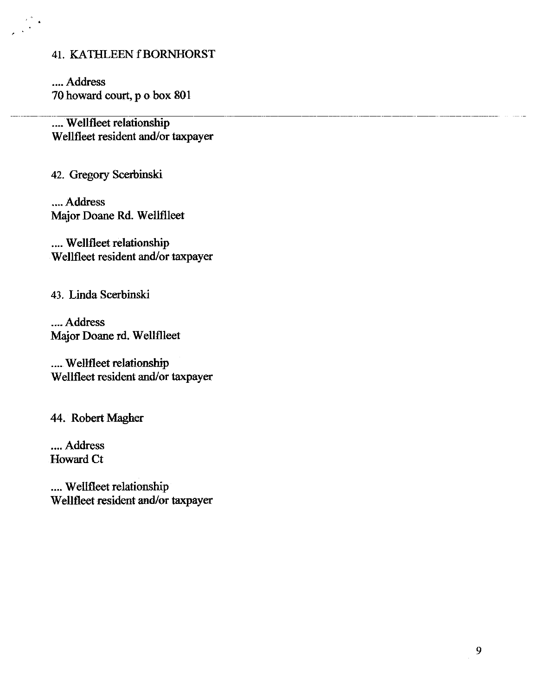#### 41. KATHLEEN f BORNHORST

.... Address 70 howard court, p o box 801

.... Wellfleet relationship Wellfleet resident and/or taxpayer

42. Gregory Scerbinski

.... Address Major Doane Rd. Wellfileet

.... Wellfleet relationship Wellfleet resident and/or taxpayer

43. Linda Scerbinski

.... Address Major Doane rd. Wellflleet

.... Wellfleet relationship Wellfleet resident and/or taxpayer

44. Robert Magher

.... Address **Howard Ct**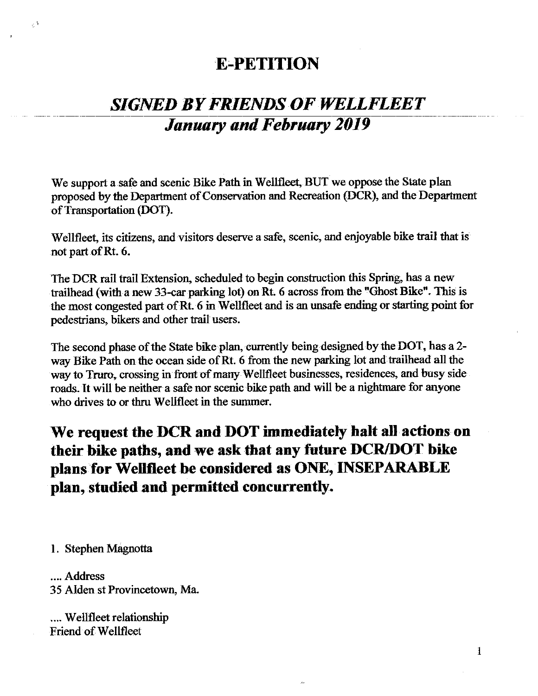## **E-PETITION**

# **SIGNED BY FRIENDS OF WELLFLEET January and February 2019**

We support a safe and scenic Bike Path in Wellfleet, BUT we oppose the State plan proposed by the Department of Conservation and Recreation (DCR), and the Department of Transportation (DOT).

Wellfleet, its citizens, and visitors deserve a safe, scenic, and enjoyable bike trail that is not part of Rt. 6.

The DCR rail trail Extension, scheduled to begin construction this Spring, has a new trailhead (with a new 33-car parking lot) on Rt. 6 across from the "Ghost Bike". This is the most congested part of Rt. 6 in Wellfleet and is an unsafe ending or starting point for pedestrians, bikers and other trail users.

The second phase of the State bike plan, currently being designed by the DOT, has a 2way Bike Path on the ocean side of Rt. 6 from the new parking lot and trailhead all the way to Truro, crossing in front of many Wellfleet businesses, residences, and busy side roads. It will be neither a safe nor scenic bike path and will be a nightmare for anyone who drives to or thru Wellfleet in the summer.

We request the DCR and DOT immediately halt all actions on their bike paths, and we ask that any future DCR/DOT bike plans for Wellfleet be considered as ONE, INSEPARABLE plan, studied and permitted concurrently.

1. Stephen Magnotta

 $\mathcal{L}^{\mathcal{A}}$ 

.... Address 35 Alden st Provincetown, Ma.

.... Wellfleet relationship **Friend of Wellfleet**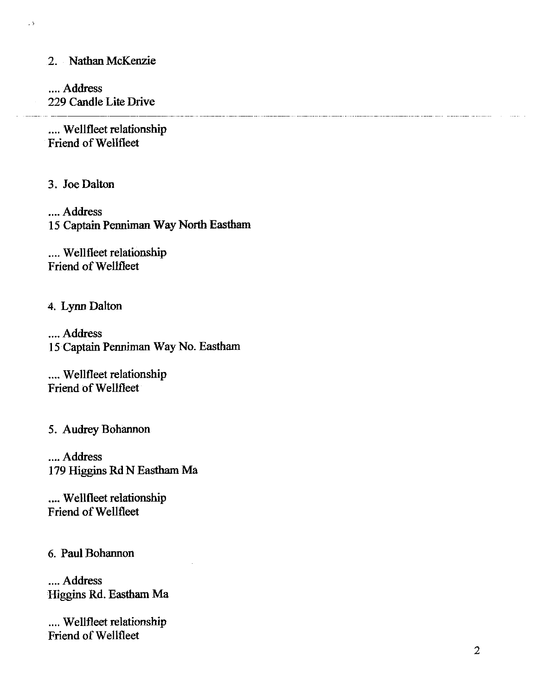#### 2. Nathan McKenzie

 $\overline{1}$ 

.... Address 229 Candle Lite Drive

.... Wellfleet relationship Friend of Wellfleet

3. Joe Dalton

.... Address 15 Captain Penniman Way North Eastham

.... Wellfleet relationship Friend of Wellfleet

4. Lynn Dalton

.... Address 15 Captain Penniman Way No. Eastham

.... Wellfleet relationship Friend of Wellfleet

5. Audrey Bohannon

.... Address 179 Higgins Rd N Eastham Ma

.... Wellfleet relationship Friend of Wellfleet

6. Paul Bohannon

.... Address Higgins Rd. Eastham Ma

.... Wellfleet relationship Friend of Wellfleet